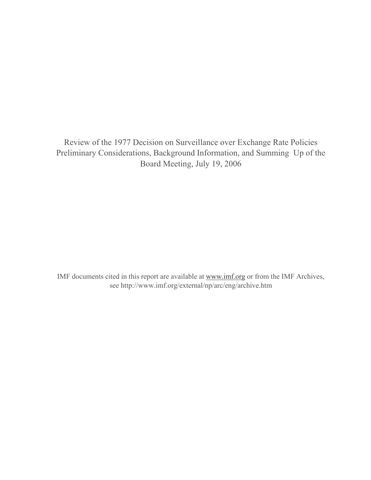Review of the 1977 Decision on Surveillance over Exchange Rate Policies Preliminary Considerations, Background Information, and Summing Up of the Board Meeting, July 19, 2006

IMF documents cited in this report are available at www.imf.org or from the IMF Archives, see http://www.imf.org/external/np/arc/eng/archive.htm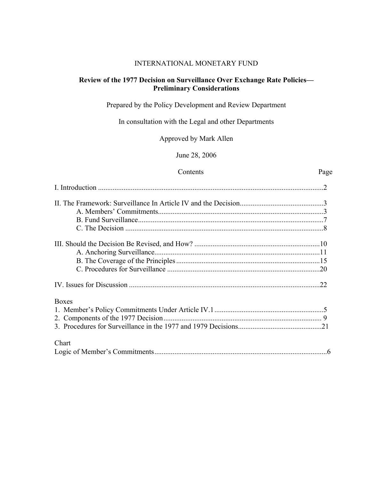#### INTERNATIONAL MONETARY FUND

#### **Review of the 1977 Decision on Surveillance Over Exchange Rate Policies— Preliminary Considerations**

Prepared by the Policy Development and Review Department

In consultation with the Legal and other Departments

Approved by Mark Allen

June 28, 2006

#### Contents Page

| <b>Boxes</b> |  |
|--------------|--|
|              |  |
|              |  |
|              |  |
| Chart        |  |
|              |  |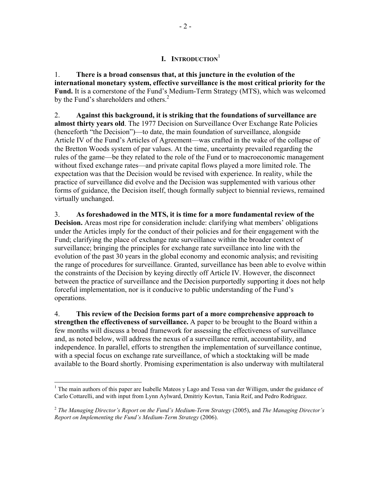## **I. INTRODUCTION**<sup>1</sup>

1. **There is a broad consensus that, at this juncture in the evolution of the international monetary system, effective surveillance is the most critical priority for the Fund.** It is a cornerstone of the Fund's Medium-Term Strategy (MTS), which was welcomed by the Fund's shareholders and others.<sup>2</sup>

2. **Against this background, it is striking that the foundations of surveillance are almost thirty years old**. The 1977 Decision on Surveillance Over Exchange Rate Policies (henceforth "the Decision")—to date, the main foundation of surveillance, alongside Article IV of the Fund's Articles of Agreement—was crafted in the wake of the collapse of the Bretton Woods system of par values. At the time, uncertainty prevailed regarding the rules of the game—be they related to the role of the Fund or to macroeconomic management without fixed exchange rates—and private capital flows played a more limited role. The expectation was that the Decision would be revised with experience. In reality, while the practice of surveillance did evolve and the Decision was supplemented with various other forms of guidance, the Decision itself, though formally subject to biennial reviews, remained virtually unchanged.

3. **As foreshadowed in the MTS, it is time for a more fundamental review of the Decision.** Areas most ripe for consideration include: clarifying what members' obligations under the Articles imply for the conduct of their policies and for their engagement with the Fund; clarifying the place of exchange rate surveillance within the broader context of surveillance; bringing the principles for exchange rate surveillance into line with the evolution of the past 30 years in the global economy and economic analysis; and revisiting the range of procedures for surveillance. Granted, surveillance has been able to evolve within the constraints of the Decision by keying directly off Article IV. However, the disconnect between the practice of surveillance and the Decision purportedly supporting it does not help forceful implementation, nor is it conducive to public understanding of the Fund's operations.

4. **This review of the Decision forms part of a more comprehensive approach to strengthen the effectiveness of surveillance.** A paper to be brought to the Board within a few months will discuss a broad framework for assessing the effectiveness of surveillance and, as noted below, will address the nexus of a surveillance remit, accountability, and independence. In parallel, efforts to strengthen the implementation of surveillance continue, with a special focus on exchange rate surveillance, of which a stocktaking will be made available to the Board shortly. Promising experimentation is also underway with multilateral

<sup>1</sup> <sup>1</sup> The main authors of this paper are Isabelle Mateos y Lago and Tessa van der Willigen, under the guidance of Carlo Cottarelli, and with input from Lynn Aylward, Dmitriy Kovtun, Tania Reif, and Pedro Rodriguez.

<sup>2</sup> *The Managing Director's Report on the Fund's Medium-Term Strategy* (2005), and *The Managing Director's Report on Implementing the Fund's Medium-Term Strategy* (2006).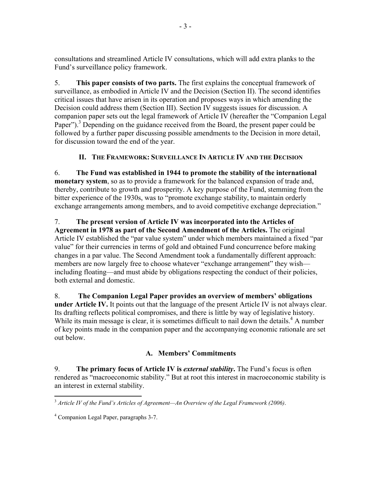consultations and streamlined Article IV consultations, which will add extra planks to the Fund's surveillance policy framework.

5. **This paper consists of two parts.** The first explains the conceptual framework of surveillance, as embodied in Article IV and the Decision (Section II). The second identifies critical issues that have arisen in its operation and proposes ways in which amending the Decision could address them (Section III). Section IV suggests issues for discussion. A companion paper sets out the legal framework of Article IV (hereafter the "Companion Legal Paper").<sup>3</sup> Depending on the guidance received from the Board, the present paper could be followed by a further paper discussing possible amendments to the Decision in more detail, for discussion toward the end of the year.

# **II. THE FRAMEWORK: SURVEILLANCE IN ARTICLE IV AND THE DECISION**

6. **The Fund was established in 1944 to promote the stability of the international monetary system**, so as to provide a framework for the balanced expansion of trade and, thereby, contribute to growth and prosperity. A key purpose of the Fund, stemming from the bitter experience of the 1930s, was to "promote exchange stability, to maintain orderly exchange arrangements among members, and to avoid competitive exchange depreciation."

## 7. **The present version of Article IV was incorporated into the Articles of**

**Agreement in 1978 as part of the Second Amendment of the Articles.** The original Article IV established the "par value system" under which members maintained a fixed "par value" for their currencies in terms of gold and obtained Fund concurrence before making changes in a par value. The Second Amendment took a fundamentally different approach: members are now largely free to choose whatever "exchange arrangement" they wish including floating—and must abide by obligations respecting the conduct of their policies, both external and domestic.

8. **The Companion Legal Paper provides an overview of members' obligations under Article IV.** It points out that the language of the present Article IV is not always clear. Its drafting reflects political compromises, and there is little by way of legislative history. While its main message is clear, it is sometimes difficult to nail down the details.<sup>4</sup> A number of key points made in the companion paper and the accompanying economic rationale are set out below.

## **A. Members' Commitments**

9. **The primary focus of Article IV is** *external stability***.** The Fund's focus is often rendered as "macroeconomic stability." But at root this interest in macroeconomic stability is an interest in external stability.

 $\overline{a}$ <sup>3</sup> *Article IV of the Fund's Articles of Agreement—An Overview of the Legal Framework (2006)*.

<sup>4</sup> Companion Legal Paper, paragraphs 3-7.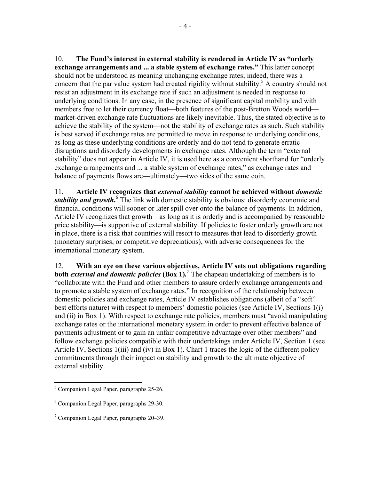10. **The Fund's interest in external stability is rendered in Article IV as "orderly exchange arrangements and ... a stable system of exchange rates."** This latter concept should not be understood as meaning unchanging exchange rates; indeed, there was a concern that the par value system had created rigidity without stability.<sup>5</sup> A country should not resist an adjustment in its exchange rate if such an adjustment is needed in response to underlying conditions. In any case, in the presence of significant capital mobility and with members free to let their currency float—both features of the post-Bretton Woods world market-driven exchange rate fluctuations are likely inevitable. Thus, the stated objective is to achieve the stability of the system—not the stability of exchange rates as such. Such stability is best served if exchange rates are permitted to move in response to underlying conditions, as long as these underlying conditions are orderly and do not tend to generate erratic disruptions and disorderly developments in exchange rates. Although the term "external stability" does not appear in Article IV, it is used here as a convenient shorthand for "orderly exchange arrangements and ... a stable system of exchange rates," as exchange rates and balance of payments flows are—ultimately—two sides of the same coin.

11. **Article IV recognizes that** *external stability* **cannot be achieved without** *domestic*  stability and growth.<sup>6</sup> The link with domestic stability is obvious: disorderly economic and financial conditions will sooner or later spill over onto the balance of payments. In addition, Article IV recognizes that growth—as long as it is orderly and is accompanied by reasonable price stability—is supportive of external stability. If policies to foster orderly growth are not in place, there is a risk that countries will resort to measures that lead to disorderly growth (monetary surprises, or competitive depreciations), with adverse consequences for the international monetary system.

12. **With an eye on these various objectives, Article IV sets out obligations regarding both** *external and domestic policies* (Box 1).<sup>7</sup> The chapeau undertaking of members is to "collaborate with the Fund and other members to assure orderly exchange arrangements and to promote a stable system of exchange rates." In recognition of the relationship between domestic policies and exchange rates, Article IV establishes obligations (albeit of a "soft" best efforts nature) with respect to members' domestic policies (see Article IV, Sections 1(i) and (ii) in Box 1). With respect to exchange rate policies, members must "avoid manipulating exchange rates or the international monetary system in order to prevent effective balance of payments adjustment or to gain an unfair competitive advantage over other members" and follow exchange policies compatible with their undertakings under Article IV, Section 1 (see Article IV, Sections 1(iii) and (iv) in Box 1). Chart 1 traces the logic of the different policy commitments through their impact on stability and growth to the ultimate objective of external stability.

 5 Companion Legal Paper, paragraphs 25-26.

<sup>6</sup> Companion Legal Paper, paragraphs 29-30.

<sup>&</sup>lt;sup>7</sup> Companion Legal Paper, paragraphs 20–39.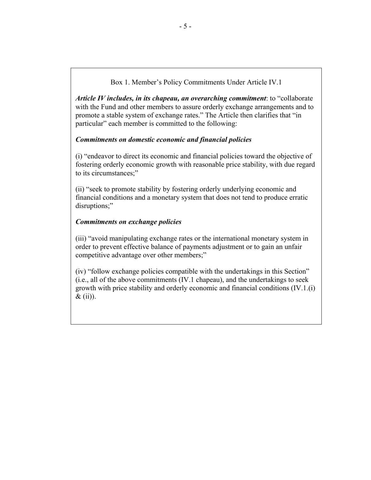Box 1. Member's Policy Commitments Under Article IV.1

*Article IV includes, in its chapeau, an overarching commitment*: to "collaborate with the Fund and other members to assure orderly exchange arrangements and to promote a stable system of exchange rates." The Article then clarifies that "in particular" each member is committed to the following:

### *Commitments on domestic economic and financial policies*

(i) "endeavor to direct its economic and financial policies toward the objective of fostering orderly economic growth with reasonable price stability, with due regard to its circumstances;"

(ii) "seek to promote stability by fostering orderly underlying economic and financial conditions and a monetary system that does not tend to produce erratic disruptions;"

### *Commitments on exchange policies*

(iii) "avoid manipulating exchange rates or the international monetary system in order to prevent effective balance of payments adjustment or to gain an unfair competitive advantage over other members;"

(iv) "follow exchange policies compatible with the undertakings in this Section" (i.e., all of the above commitments (IV.1 chapeau), and the undertakings to seek growth with price stability and orderly economic and financial conditions (IV.1.(i) & (ii)).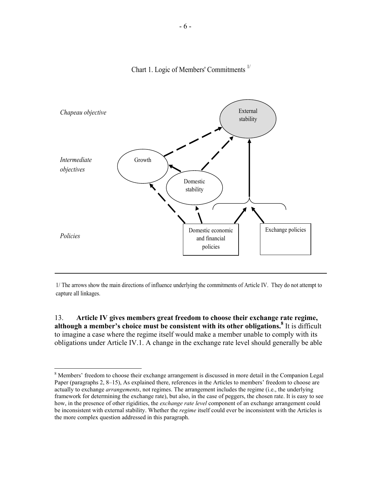



1/ The arrows show the main directions of influence underlying the commitments of Article IV. They do not attempt to capture all linkages.

13. **Article IV gives members great freedom to choose their exchange rate regime,**  although a member's choice must be consistent with its other obligations.<sup>8</sup> It is difficult to imagine a case where the regime itself would make a member unable to comply with its obligations under Article IV.1. A change in the exchange rate level should generally be able

<sup>&</sup>lt;sup>8</sup> Members' freedom to choose their exchange arrangement is discussed in more detail in the Companion Legal Paper (paragraphs 2, 8–15), As explained there, references in the Articles to members' freedom to choose are actually to exchange *arrangements*, not regimes. The arrangement includes the regime (i.e., the underlying framework for determining the exchange rate), but also, in the case of peggers, the chosen rate. It is easy to see how, in the presence of other rigidities, the *exchange rate level* component of an exchange arrangement could be inconsistent with external stability. Whether the *regime* itself could ever be inconsistent with the Articles is the more complex question addressed in this paragraph.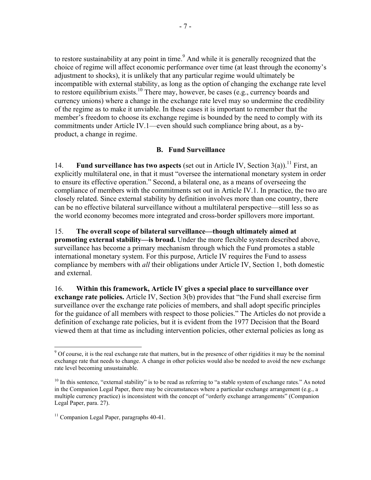to restore sustainability at any point in time.<sup>9</sup> And while it is generally recognized that the choice of regime will affect economic performance over time (at least through the economy's adjustment to shocks), it is unlikely that any particular regime would ultimately be incompatible with external stability, as long as the option of changing the exchange rate level to restore equilibrium exists.<sup>10</sup> There may, however, be cases (e.g., currency boards and currency unions) where a change in the exchange rate level may so undermine the credibility of the regime as to make it unviable. In these cases it is important to remember that the member's freedom to choose its exchange regime is bounded by the need to comply with its commitments under Article IV.1—even should such compliance bring about, as a byproduct, a change in regime.

#### **B. Fund Surveillance**

14. **Fund surveillance has two aspects** (set out in Article IV, Section 3(a)).<sup>11</sup> First, an explicitly multilateral one, in that it must "oversee the international monetary system in order to ensure its effective operation." Second, a bilateral one, as a means of overseeing the compliance of members with the commitments set out in Article IV.1. In practice, the two are closely related. Since external stability by definition involves more than one country, there can be no effective bilateral surveillance without a multilateral perspective—still less so as the world economy becomes more integrated and cross-border spillovers more important.

15. **The overall scope of bilateral surveillance—though ultimately aimed at promoting external stability—is broad.** Under the more flexible system described above, surveillance has become a primary mechanism through which the Fund promotes a stable international monetary system. For this purpose, Article IV requires the Fund to assess compliance by members with *all* their obligations under Article IV, Section 1, both domestic and external.

16. **Within this framework, Article IV gives a special place to surveillance over exchange rate policies.** Article IV, Section 3(b) provides that "the Fund shall exercise firm surveillance over the exchange rate policies of members, and shall adopt specific principles for the guidance of all members with respect to those policies." The Articles do not provide a definition of exchange rate policies, but it is evident from the 1977 Decision that the Board viewed them at that time as including intervention policies, other external policies as long as

<sup>&</sup>lt;sup>9</sup> Of course, it is the real exchange rate that matters, but in the presence of other rigidities it may be the nominal exchange rate that needs to change. A change in other policies would also be needed to avoid the new exchange rate level becoming unsustainable.

 $10$  In this sentence, "external stability" is to be read as referring to "a stable system of exchange rates." As noted in the Companion Legal Paper, there may be circumstances where a particular exchange arrangement (e.g., a multiple currency practice) is inconsistent with the concept of "orderly exchange arrangements" (Companion Legal Paper, para. 27).

<sup>&</sup>lt;sup>11</sup> Companion Legal Paper, paragraphs 40-41.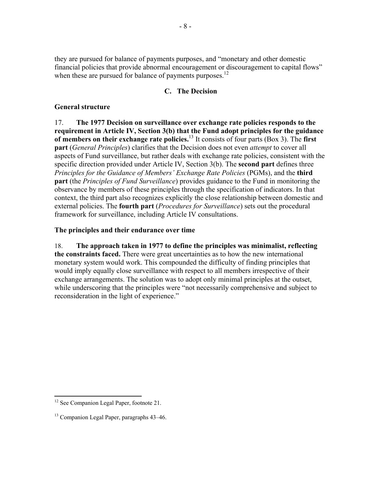they are pursued for balance of payments purposes, and "monetary and other domestic financial policies that provide abnormal encouragement or discouragement to capital flows" when these are pursued for balance of payments purposes.<sup>12</sup>

#### **C. The Decision**

### **General structure**

17. **The 1977 Decision on surveillance over exchange rate policies responds to the requirement in Article IV, Section 3(b) that the Fund adopt principles for the guidance of members on their exchange rate policies.**<sup>13</sup> It consists of four parts (Box 3). The **first part** (*General Principles*) clarifies that the Decision does not even *attempt* to cover all aspects of Fund surveillance, but rather deals with exchange rate policies, consistent with the specific direction provided under Article IV, Section 3(b). The **second part** defines three *Principles for the Guidance of Members' Exchange Rate Policies* (PGMs), and the **third part** (the *Principles of Fund Surveillance*) provides guidance to the Fund in monitoring the observance by members of these principles through the specification of indicators. In that context, the third part also recognizes explicitly the close relationship between domestic and external policies. The **fourth part** (*Procedures for Surveillance*) sets out the procedural framework for surveillance, including Article IV consultations.

#### **The principles and their endurance over time**

18. **The approach taken in 1977 to define the principles was minimalist, reflecting the constraints faced.** There were great uncertainties as to how the new international monetary system would work. This compounded the difficulty of finding principles that would imply equally close surveillance with respect to all members irrespective of their exchange arrangements. The solution was to adopt only minimal principles at the outset, while underscoring that the principles were "not necessarily comprehensive and subject to reconsideration in the light of experience."

 $\overline{a}$ <sup>12</sup> See Companion Legal Paper, footnote 21.

<sup>&</sup>lt;sup>13</sup> Companion Legal Paper, paragraphs 43–46.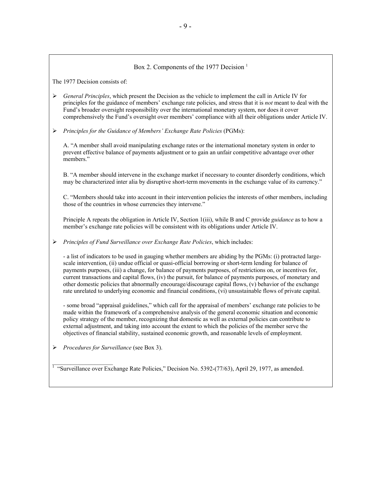#### Box 2. Components of the 1977 Decision<sup>1</sup>

The 1977 Decision consists of:

- ¾ *General Principles*, which present the Decision as the vehicle to implement the call in Article IV for principles for the guidance of members' exchange rate policies, and stress that it is *not* meant to deal with the Fund's broader oversight responsibility over the international monetary system, nor does it cover comprehensively the Fund's oversight over members' compliance with all their obligations under Article IV.
- ¾ *Principles for the Guidance of Members' Exchange Rate Policies* (PGMs):

A. "A member shall avoid manipulating exchange rates or the international monetary system in order to prevent effective balance of payments adjustment or to gain an unfair competitive advantage over other members."

B. "A member should intervene in the exchange market if necessary to counter disorderly conditions, which may be characterized inter alia by disruptive short-term movements in the exchange value of its currency."

C. "Members should take into account in their intervention policies the interests of other members, including those of the countries in whose currencies they intervene."

Principle A repeats the obligation in Article IV, Section 1(iii), while B and C provide *guidance* as to how a member's exchange rate policies will be consistent with its obligations under Article IV.

¾ *Principles of Fund Surveillance over Exchange Rate Policies*, which includes:

- a list of indicators to be used in gauging whether members are abiding by the PGMs: (i) protracted largescale intervention, (ii) undue official or quasi-official borrowing or short-term lending for balance of payments purposes, (iii) a change, for balance of payments purposes, of restrictions on, or incentives for, current transactions and capital flows, (iv) the pursuit, for balance of payments purposes, of monetary and other domestic policies that abnormally encourage/discourage capital flows, (v) behavior of the exchange rate unrelated to underlying economic and financial conditions, (vi) unsustainable flows of private capital.

- some broad "appraisal guidelines," which call for the appraisal of members' exchange rate policies to be made within the framework of a comprehensive analysis of the general economic situation and economic policy strategy of the member, recognizing that domestic as well as external policies can contribute to external adjustment, and taking into account the extent to which the policies of the member serve the objectives of financial stability, sustained economic growth, and reasonable levels of employment.

¾ *Procedures for Surveillance* (see Box 3).

 $\overline{\phantom{a}}$  , where  $\overline{\phantom{a}}$ 

<sup>1</sup> "Surveillance over Exchange Rate Policies," Decision No. 5392-(77/63), April 29, 1977, as amended.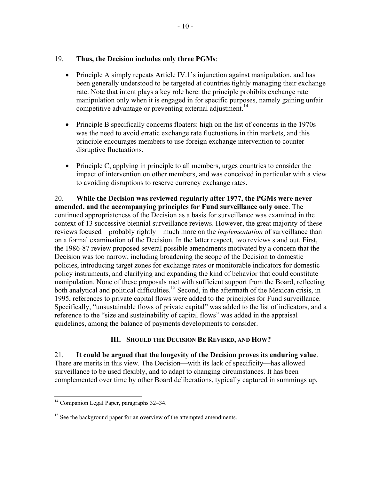#### 19. **Thus, the Decision includes only three PGMs**:

- Principle A simply repeats Article IV.1's injunction against manipulation, and has been generally understood to be targeted at countries tightly managing their exchange rate. Note that intent plays a key role here: the principle prohibits exchange rate manipulation only when it is engaged in for specific purposes, namely gaining unfair competitive advantage or preventing external adjustment.<sup>14</sup>
- Principle B specifically concerns floaters: high on the list of concerns in the 1970s was the need to avoid erratic exchange rate fluctuations in thin markets, and this principle encourages members to use foreign exchange intervention to counter disruptive fluctuations.
- Principle C, applying in principle to all members, urges countries to consider the impact of intervention on other members, and was conceived in particular with a view to avoiding disruptions to reserve currency exchange rates.

20. **While the Decision was reviewed regularly after 1977, the PGMs were never amended, and the accompanying principles for Fund surveillance only once**. The continued appropriateness of the Decision as a basis for surveillance was examined in the context of 13 successive biennial surveillance reviews. However, the great majority of these reviews focused—probably rightly—much more on the *implementation* of surveillance than on a formal examination of the Decision. In the latter respect, two reviews stand out. First, the 1986-87 review proposed several possible amendments motivated by a concern that the Decision was too narrow, including broadening the scope of the Decision to domestic policies, introducing target zones for exchange rates or monitorable indicators for domestic policy instruments, and clarifying and expanding the kind of behavior that could constitute manipulation. None of these proposals met with sufficient support from the Board, reflecting both analytical and political difficulties.<sup>15</sup> Second, in the aftermath of the Mexican crisis, in 1995, references to private capital flows were added to the principles for Fund surveillance. Specifically, "unsustainable flows of private capital" was added to the list of indicators, and a reference to the "size and sustainability of capital flows" was added in the appraisal guidelines, among the balance of payments developments to consider.

#### **III. SHOULD THE DECISION BE REVISED, AND HOW?**

21. **It could be argued that the longevity of the Decision proves its enduring value**. There are merits in this view. The Decision—with its lack of specificity—has allowed surveillance to be used flexibly, and to adapt to changing circumstances. It has been complemented over time by other Board deliberations, typically captured in summings up,

<sup>&</sup>lt;sup>14</sup> Companion Legal Paper, paragraphs 32–34.

<sup>&</sup>lt;sup>15</sup> See the background paper for an overview of the attempted amendments.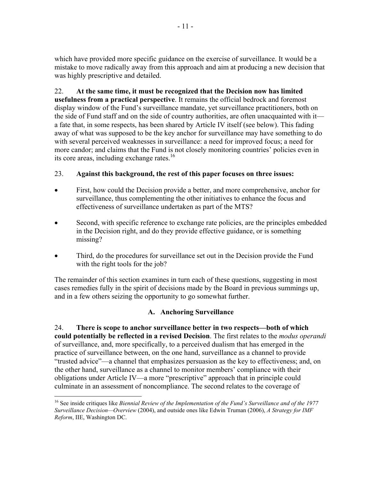which have provided more specific guidance on the exercise of surveillance. It would be a mistake to move radically away from this approach and aim at producing a new decision that was highly prescriptive and detailed.

22. **At the same time, it must be recognized that the Decision now has limited usefulness from a practical perspective**. It remains the official bedrock and foremost display window of the Fund's surveillance mandate, yet surveillance practitioners, both on the side of Fund staff and on the side of country authorities, are often unacquainted with it a fate that, in some respects, has been shared by Article IV itself (see below). This fading away of what was supposed to be the key anchor for surveillance may have something to do with several perceived weaknesses in surveillance: a need for improved focus; a need for more candor; and claims that the Fund is not closely monitoring countries' policies even in its core areas, including exchange rates.<sup>16</sup>

## 23. **Against this background, the rest of this paper focuses on three issues:**

- First, how could the Decision provide a better, and more comprehensive, anchor for surveillance, thus complementing the other initiatives to enhance the focus and effectiveness of surveillance undertaken as part of the MTS?
- Second, with specific reference to exchange rate policies, are the principles embedded in the Decision right, and do they provide effective guidance, or is something missing?
- Third, do the procedures for surveillance set out in the Decision provide the Fund with the right tools for the job?

The remainder of this section examines in turn each of these questions, suggesting in most cases remedies fully in the spirit of decisions made by the Board in previous summings up, and in a few others seizing the opportunity to go somewhat further.

## **A. Anchoring Surveillance**

24. **There is scope to anchor surveillance better in two respects—both of which could potentially be reflected in a revised Decision**. The first relates to the *modus operandi*  of surveillance, and, more specifically, to a perceived dualism that has emerged in the practice of surveillance between, on the one hand, surveillance as a channel to provide "trusted advice"—a channel that emphasizes persuasion as the key to effectiveness; and, on the other hand, surveillance as a channel to monitor members' compliance with their obligations under Article IV—a more "prescriptive" approach that in principle could culminate in an assessment of noncompliance. The second relates to the coverage of

<sup>&</sup>lt;sup>16</sup> See inside critiques like *Biennial Review of the Implementation of the Fund's Surveillance and of the 1977 Surveillance Decision—Overview* (2004), and outside ones like Edwin Truman (2006), *A Strategy for IMF Reform*, IIE, Washington DC.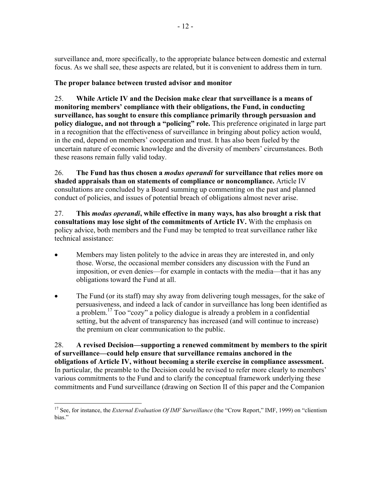surveillance and, more specifically, to the appropriate balance between domestic and external focus. As we shall see, these aspects are related, but it is convenient to address them in turn.

### **The proper balance between trusted advisor and monitor**

25. **While Article IV and the Decision make clear that surveillance is a means of monitoring members' compliance with their obligations, the Fund, in conducting surveillance, has sought to ensure this compliance primarily through persuasion and policy dialogue, and not through a "policing" role.** This preference originated in large part in a recognition that the effectiveness of surveillance in bringing about policy action would, in the end, depend on members' cooperation and trust. It has also been fueled by the uncertain nature of economic knowledge and the diversity of members' circumstances. Both these reasons remain fully valid today.

26. **The Fund has thus chosen a** *modus operandi* **for surveillance that relies more on shaded appraisals than on statements of compliance or noncompliance.** Article IV consultations are concluded by a Board summing up commenting on the past and planned conduct of policies, and issues of potential breach of obligations almost never arise.

27. **This** *modus operandi***, while effective in many ways, has also brought a risk that consultations may lose sight of the commitments of Article IV.** With the emphasis on policy advice, both members and the Fund may be tempted to treat surveillance rather like technical assistance:

- Members may listen politely to the advice in areas they are interested in, and only those. Worse, the occasional member considers any discussion with the Fund an imposition, or even denies—for example in contacts with the media—that it has any obligations toward the Fund at all.
- The Fund (or its staff) may shy away from delivering tough messages, for the sake of persuasiveness, and indeed a lack of candor in surveillance has long been identified as a problem.<sup>17</sup> Too "cozy" a policy dialogue is already a problem in a confidential setting, but the advent of transparency has increased (and will continue to increase) the premium on clear communication to the public.

28. **A revised Decision—supporting a renewed commitment by members to the spirit of surveillance—could help ensure that surveillance remains anchored in the obligations of Article IV, without becoming a sterile exercise in compliance assessment.**  In particular, the preamble to the Decision could be revised to refer more clearly to members' various commitments to the Fund and to clarify the conceptual framework underlying these commitments and Fund surveillance (drawing on Section II of this paper and the Companion

 $\overline{a}$ <sup>17</sup> See, for instance, the *External Evaluation Of IMF Surveillance* (the "Crow Report," IMF, 1999) on "clientism bias."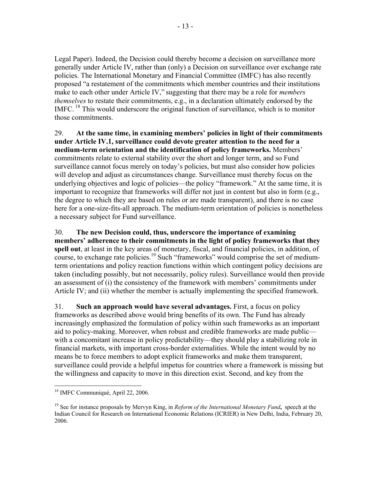Legal Paper). Indeed, the Decision could thereby become a decision on surveillance more generally under Article IV, rather than (only) a Decision on surveillance over exchange rate policies. The International Monetary and Financial Committee (IMFC) has also recently proposed "a restatement of the commitments which member countries and their institutions make to each other under Article IV," suggesting that there may be a role for *members themselves* to restate their commitments, e.g., in a declaration ultimately endorsed by the IMFC. 18 This would underscore the original function of surveillance, which is to monitor those commitments.

29. **At the same time, in examining members' policies in light of their commitments under Article IV.1, surveillance could devote greater attention to the need for a medium-term orientation and the identification of policy frameworks.** Members' commitments relate to external stability over the short and longer term, and so Fund surveillance cannot focus merely on today's policies, but must also consider how policies will develop and adjust as circumstances change. Surveillance must thereby focus on the underlying objectives and logic of policies—the policy "framework." At the same time, it is important to recognize that frameworks will differ not just in content but also in form (e.g., the degree to which they are based on rules or are made transparent), and there is no case here for a one-size-fits-all approach. The medium-term orientation of policies is nonetheless a necessary subject for Fund surveillance.

30. **The new Decision could, thus, underscore the importance of examining members' adherence to their commitments in the light of policy frameworks that they spell out**, at least in the key areas of monetary, fiscal, and financial policies, in addition, of course, to exchange rate policies.<sup>19</sup> Such "frameworks" would comprise the set of mediumterm orientations and policy reaction functions within which contingent policy decisions are taken (including possibly, but not necessarily, policy rules). Surveillance would then provide an assessment of (i) the consistency of the framework with members' commitments under Article IV; and (ii) whether the member is actually implementing the specified framework.

31. **Such an approach would have several advantages.** First, a focus on policy frameworks as described above would bring benefits of its own. The Fund has already increasingly emphasized the formulation of policy within such frameworks as an important aid to policy-making. Moreover, when robust and credible frameworks are made public with a concomitant increase in policy predictability—they should play a stabilizing role in financial markets, with important cross-border externalities. While the intent would by no means be to force members to adopt explicit frameworks and make them transparent, surveillance could provide a helpful impetus for countries where a framework is missing but the willingness and capacity to move in this direction exist. Second, and key from the

 $\overline{a}$ <sup>18</sup> IMFC Communiqué, April 22, 2006.

<sup>19</sup> See for instance proposals by Mervyn King, in *Reform of the International Monetary Fund***,** speech at the Indian Council for Research on International Economic Relations (ICRIER) in New Delhi, India, February 20, 2006.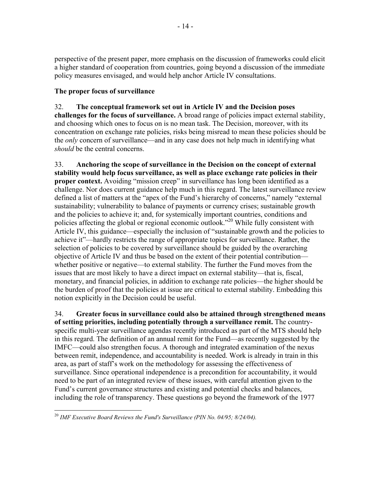perspective of the present paper, more emphasis on the discussion of frameworks could elicit a higher standard of cooperation from countries, going beyond a discussion of the immediate policy measures envisaged, and would help anchor Article IV consultations.

### **The proper focus of surveillance**

### 32. **The conceptual framework set out in Article IV and the Decision poses**

**challenges for the focus of surveillance.** A broad range of policies impact external stability, and choosing which ones to focus on is no mean task. The Decision, moreover, with its concentration on exchange rate policies, risks being misread to mean these policies should be the *only* concern of surveillance—and in any case does not help much in identifying what *should* be the central concerns.

33. **Anchoring the scope of surveillance in the Decision on the concept of external stability would help focus surveillance, as well as place exchange rate policies in their proper context.** Avoiding "mission creep" in surveillance has long been identified as a challenge. Nor does current guidance help much in this regard. The latest surveillance review defined a list of matters at the "apex of the Fund's hierarchy of concerns," namely "external sustainability; vulnerability to balance of payments or currency crises; sustainable growth and the policies to achieve it; and, for systemically important countries, conditions and policies affecting the global or regional economic outlook."20 While fully consistent with Article IV, this guidance—especially the inclusion of "sustainable growth and the policies to achieve it"—hardly restricts the range of appropriate topics for surveillance. Rather, the selection of policies to be covered by surveillance should be guided by the overarching objective of Article IV and thus be based on the extent of their potential contribution whether positive or negative—to external stability. The further the Fund moves from the issues that are most likely to have a direct impact on external stability—that is, fiscal, monetary, and financial policies, in addition to exchange rate policies—the higher should be the burden of proof that the policies at issue are critical to external stability. Embedding this notion explicitly in the Decision could be useful.

34. **Greater focus in surveillance could also be attained through strengthened means of setting priorities, including potentially through a surveillance remit.** The countryspecific multi-year surveillance agendas recently introduced as part of the MTS should help in this regard. The definition of an annual remit for the Fund—as recently suggested by the IMFC—could also strengthen focus. A thorough and integrated examination of the nexus between remit, independence, and accountability is needed. Work is already in train in this area, as part of staff's work on the methodology for assessing the effectiveness of surveillance. Since operational independence is a precondition for accountability, it would need to be part of an integrated review of these issues, with careful attention given to the Fund's current governance structures and existing and potential checks and balances, including the role of transparency. These questions go beyond the framework of the 1977

 $\overline{a}$ <sup>20</sup> IMF Executive Board Reviews the Fund's Surveillance (PIN No. 04/95; 8/24/04).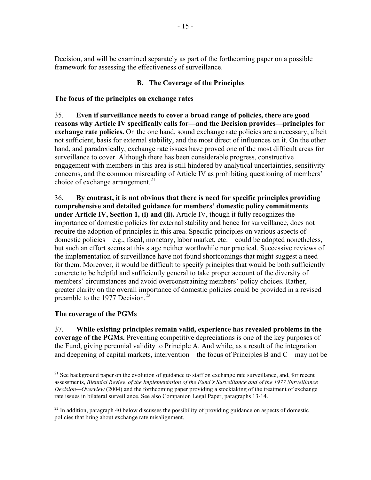Decision, and will be examined separately as part of the forthcoming paper on a possible framework for assessing the effectiveness of surveillance.

#### **B. The Coverage of the Principles**

#### **The focus of the principles on exchange rates**

35. **Even if surveillance needs to cover a broad range of policies, there are good reasons why Article IV specifically calls for—and the Decision provides—principles for exchange rate policies.** On the one hand, sound exchange rate policies are a necessary, albeit not sufficient, basis for external stability, and the most direct of influences on it. On the other hand, and paradoxically, exchange rate issues have proved one of the most difficult areas for surveillance to cover. Although there has been considerable progress, constructive engagement with members in this area is still hindered by analytical uncertainties, sensitivity concerns, and the common misreading of Article IV as prohibiting questioning of members' choice of exchange arrangement. $^{21}$ 

36. **By contrast, it is not obvious that there is need for specific principles providing comprehensive and detailed guidance for members' domestic policy commitments under Article IV, Section 1, (i) and (ii).** Article IV, though it fully recognizes the importance of domestic policies for external stability and hence for surveillance, does not require the adoption of principles in this area. Specific principles on various aspects of domestic policies—e.g., fiscal, monetary, labor market, etc.—could be adopted nonetheless, but such an effort seems at this stage neither worthwhile nor practical. Successive reviews of the implementation of surveillance have not found shortcomings that might suggest a need for them. Moreover, it would be difficult to specify principles that would be both sufficiently concrete to be helpful and sufficiently general to take proper account of the diversity of members' circumstances and avoid overconstraining members' policy choices. Rather, greater clarity on the overall importance of domestic policies could be provided in a revised preamble to the 1977 Decision.<sup>22</sup>

#### **The coverage of the PGMs**

 $\overline{a}$ 

37. **While existing principles remain valid, experience has revealed problems in the coverage of the PGMs.** Preventing competitive depreciations is one of the key purposes of the Fund, giving perennial validity to Principle A. And while, as a result of the integration and deepening of capital markets, intervention—the focus of Principles B and C—may not be

<sup>&</sup>lt;sup>21</sup> See background paper on the evolution of guidance to staff on exchange rate surveillance, and, for recent assessments, *Biennial Review of the Implementation of the Fund's Surveillance and of the 1977 Surveillance Decision—Overview* (2004) and the forthcoming paper providing a stocktaking of the treatment of exchange rate issues in bilateral surveillance. See also Companion Legal Paper, paragraphs 13-14.

 $^{22}$  In addition, paragraph 40 below discusses the possibility of providing guidance on aspects of domestic policies that bring about exchange rate misalignment.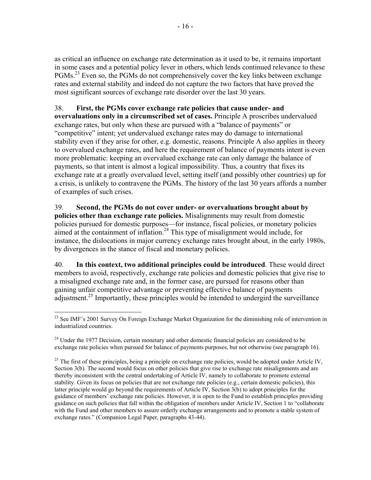as critical an influence on exchange rate determination as it used to be, it remains important in some cases and a potential policy lever in others, which lends continued relevance to these PGMs.<sup>23</sup> Even so, the PGMs do not comprehensively cover the key links between exchange rates and external stability and indeed do not capture the two factors that have proved the most significant sources of exchange rate disorder over the last 30 years.

### 38. **First, the PGMs cover exchange rate policies that cause under- and**

**overvaluations only in a circumscribed set of cases.** Principle A proscribes undervalued exchange rates, but only when these are pursued with a "balance of payments" or "competitive" intent; yet undervalued exchange rates may do damage to international stability even if they arise for other, e.g. domestic, reasons. Principle A also applies in theory to overvalued exchange rates, and here the requirement of balance of payments intent is even more problematic: keeping an overvalued exchange rate can only damage the balance of payments, so that intent is almost a logical impossibility. Thus, a country that fixes its exchange rate at a greatly overvalued level, setting itself (and possibly other countries) up for a crisis, is unlikely to contravene the PGMs. The history of the last 30 years affords a number of examples of such crises.

39. **Second, the PGMs do not cover under- or overvaluations brought about by policies other than exchange rate policies.** Misalignments may result from domestic policies pursued for domestic purposes—for instance, fiscal policies, or monetary policies aimed at the containment of inflation.<sup>24</sup> This type of misalignment would include, for instance, the dislocations in major currency exchange rates brought about, in the early 1980s, by divergences in the stance of fiscal and monetary policies.

40. **In this context, two additional principles could be introduced**. These would direct members to avoid, respectively, exchange rate policies and domestic policies that give rise to a misaligned exchange rate and, in the former case, are pursued for reasons other than gaining unfair competitive advantage or preventing effective balance of payments  $a$ djustment.<sup>25</sup> Importantly, these principles would be intended to undergird the surveillance

<sup>&</sup>lt;sup>23</sup> See IMF's 2001 Survey On Foreign Exchange Market Organization for the diminishing role of intervention in industrialized countries.

 $24$  Under the 1977 Decision, certain monetary and other domestic financial policies are considered to be exchange rate policies when pursued for balance of payments purposes, but not otherwise (see paragraph 16).

<sup>&</sup>lt;sup>25</sup> The first of these principles, being a principle on exchange rate policies, would be adopted under Article IV, Section 3(b). The second would focus on other policies that give rise to exchange rate misalignments and are thereby inconsistent with the central undertaking of Article IV, namely to collaborate to promote external stability. Given its focus on policies that are not exchange rate policies (e.g., certain domestic policies), this latter principle would go beyond the requirements of Article IV, Section 3(b) to adopt principles for the guidance of members' exchange rate policies. However, it is open to the Fund to establish principles providing guidance on such policies that fall within the obligation of members under Article IV, Section 1 to "collaborate with the Fund and other members to assure orderly exchange arrangements and to promote a stable system of exchange rates." (Companion Legal Paper, paragraphs 43-44).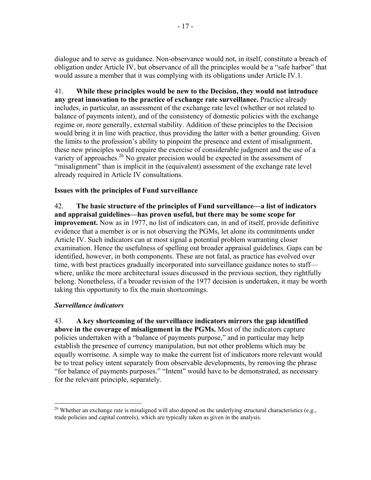dialogue and to serve as guidance. Non-observance would not, in itself, constitute a breach of obligation under Article IV, but observance of all the principles would be a "safe harbor" that would assure a member that it was complying with its obligations under Article IV.1.

41. **While these principles would be new to the Decision, they would not introduce any great innovation to the practice of exchange rate surveillance.** Practice already includes, in particular, an assessment of the exchange rate level (whether or not related to balance of payments intent), and of the consistency of domestic policies with the exchange regime or, more generally, external stability. Addition of these principles to the Decision would bring it in line with practice, thus providing the latter with a better grounding. Given the limits to the profession's ability to pinpoint the presence and extent of misalignment, these new principles would require the exercise of considerable judgment and the use of a variety of approaches.<sup>26</sup> No greater precision would be expected in the assessment of "misalignment" than is implicit in the (equivalent) assessment of the exchange rate level already required in Article IV consultations.

### **Issues with the principles of Fund surveillance**

42. **The basic structure of the principles of Fund surveillance—a list of indicators and appraisal guidelines—has proven useful, but there may be some scope for improvement.** Now as in 1977, no list of indicators can, in and of itself, provide definitive evidence that a member is or is not observing the PGMs, let alone its commitments under Article IV. Such indicators can at most signal a potential problem warranting closer examination. Hence the usefulness of spelling out broader appraisal guidelines. Gaps can be identified, however, in both components. These are not fatal, as practice has evolved over time, with best practices gradually incorporated into surveillance guidance notes to staff where, unlike the more architectural issues discussed in the previous section, they rightfully belong. Nonetheless, if a broader revision of the 1977 decision is undertaken, it may be worth taking this opportunity to fix the main shortcomings.

#### *Surveillance indicators*

43. **A key shortcoming of the surveillance indicators mirrors the gap identified above in the coverage of misalignment in the PGMs.** Most of the indicators capture policies undertaken with a "balance of payments purpose," and in particular may help establish the presence of currency manipulation, but not other problems which may be equally worrisome. A simple way to make the current list of indicators more relevant would be to treat policy intent separately from observable developments, by removing the phrase "for balance of payments purposes." "Intent" would have to be demonstrated, as necessary for the relevant principle, separately.

 $\overline{a}$ <sup>26</sup> Whether an exchange rate is misaligned will also depend on the underlying structural characteristics (e.g., trade policies and capital controls), which are typically taken as given in the analysis.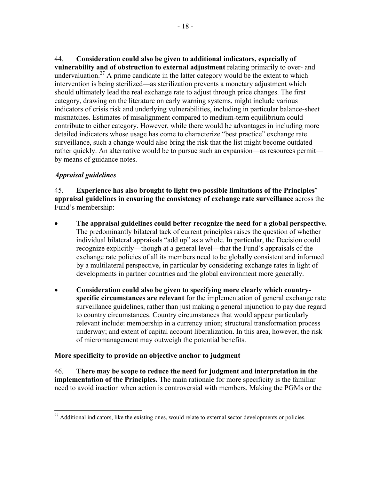44. **Consideration could also be given to additional indicators, especially of vulnerability and of obstruction to external adjustment** relating primarily to over- and undervaluation.<sup>27</sup> A prime candidate in the latter category would be the extent to which intervention is being sterilized—as sterilization prevents a monetary adjustment which should ultimately lead the real exchange rate to adjust through price changes. The first category, drawing on the literature on early warning systems, might include various indicators of crisis risk and underlying vulnerabilities, including in particular balance-sheet mismatches. Estimates of misalignment compared to medium-term equilibrium could contribute to either category. However, while there would be advantages in including more detailed indicators whose usage has come to characterize "best practice" exchange rate surveillance, such a change would also bring the risk that the list might become outdated rather quickly. An alternative would be to pursue such an expansion—as resources permit by means of guidance notes.

### *Appraisal guidelines*

45. **Experience has also brought to light two possible limitations of the Principles' appraisal guidelines in ensuring the consistency of exchange rate surveillance** across the Fund's membership:

- **The appraisal guidelines could better recognize the need for a global perspective.**  The predominantly bilateral tack of current principles raises the question of whether individual bilateral appraisals "add up" as a whole. In particular, the Decision could recognize explicitly—though at a general level—that the Fund's appraisals of the exchange rate policies of all its members need to be globally consistent and informed by a multilateral perspective, in particular by considering exchange rates in light of developments in partner countries and the global environment more generally.
- **Consideration could also be given to specifying more clearly which countryspecific circumstances are relevant** for the implementation of general exchange rate surveillance guidelines, rather than just making a general injunction to pay due regard to country circumstances. Country circumstances that would appear particularly relevant include: membership in a currency union; structural transformation process underway; and extent of capital account liberalization. In this area, however, the risk of micromanagement may outweigh the potential benefits.

#### **More specificity to provide an objective anchor to judgment**

46. **There may be scope to reduce the need for judgment and interpretation in the implementation of the Principles.** The main rationale for more specificity is the familiar need to avoid inaction when action is controversial with members. Making the PGMs or the

 $\overline{a}$  $27$  Additional indicators, like the existing ones, would relate to external sector developments or policies.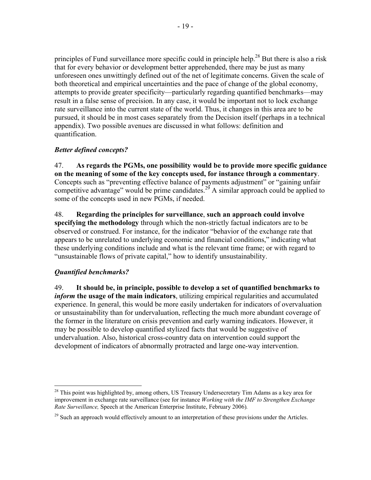principles of Fund surveillance more specific could in principle help.<sup>28</sup> But there is also a risk that for every behavior or development better apprehended, there may be just as many unforeseen ones unwittingly defined out of the net of legitimate concerns. Given the scale of both theoretical and empirical uncertainties and the pace of change of the global economy, attempts to provide greater specificity—particularly regarding quantified benchmarks—may result in a false sense of precision. In any case, it would be important not to lock exchange rate surveillance into the current state of the world. Thus, it changes in this area are to be pursued, it should be in most cases separately from the Decision itself (perhaps in a technical appendix). Two possible avenues are discussed in what follows: definition and quantification.

#### *Better defined concepts?*

47. **As regards the PGMs, one possibility would be to provide more specific guidance on the meaning of some of the key concepts used, for instance through a commentary**. Concepts such as "preventing effective balance of payments adjustment" or "gaining unfair competitive advantage" would be prime candidates.<sup>29</sup> A similar approach could be applied to some of the concepts used in new PGMs, if needed.

48. **Regarding the principles for surveillance**, **such an approach could involve specifying the methodology** through which the non-strictly factual indicators are to be observed or construed. For instance, for the indicator "behavior of the exchange rate that appears to be unrelated to underlying economic and financial conditions," indicating what these underlying conditions include and what is the relevant time frame; or with regard to "unsustainable flows of private capital," how to identify unsustainability.

#### *Quantified benchmarks?*

 $\overline{a}$ 

49. **It should be, in principle, possible to develop a set of quantified benchmarks to**  *inform* **the usage of the main indicators**, utilizing empirical regularities and accumulated experience. In general, this would be more easily undertaken for indicators of overvaluation or unsustainability than for undervaluation, reflecting the much more abundant coverage of the former in the literature on crisis prevention and early warning indicators. However, it may be possible to develop quantified stylized facts that would be suggestive of undervaluation. Also, historical cross-country data on intervention could support the development of indicators of abnormally protracted and large one-way intervention.

<sup>&</sup>lt;sup>28</sup> This point was highlighted by, among others, US Treasury Undersecretary Tim Adams as a key area for improvement in exchange rate surveillance (see for instance *Working with the IMF to Strengthen Exchange Rate Surveillance,* Speech at the American Enterprise Institute, February 2006)*.*

<sup>&</sup>lt;sup>29</sup> Such an approach would effectively amount to an interpretation of these provisions under the Articles.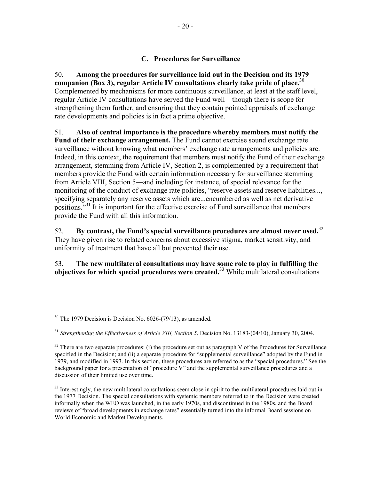#### **C. Procedures for Surveillance**

50. **Among the procedures for surveillance laid out in the Decision and its 1979 companion (Box 3), regular Article IV consultations clearly take pride of place.**<sup>30</sup> Complemented by mechanisms for more continuous surveillance, at least at the staff level, regular Article IV consultations have served the Fund well—though there is scope for strengthening them further, and ensuring that they contain pointed appraisals of exchange rate developments and policies is in fact a prime objective.

51. **Also of central importance is the procedure whereby members must notify the Fund of their exchange arrangement.** The Fund cannot exercise sound exchange rate surveillance without knowing what members' exchange rate arrangements and policies are. Indeed, in this context, the requirement that members must notify the Fund of their exchange arrangement, stemming from Article IV, Section 2, is complemented by a requirement that members provide the Fund with certain information necessary for surveillance stemming from Article VIII, Section 5—and including for instance, of special relevance for the monitoring of the conduct of exchange rate policies, "reserve assets and reserve liabilities..., specifying separately any reserve assets which are...encumbered as well as net derivative positions."<sup>31</sup> It is important for the effective exercise of Fund surveillance that members provide the Fund with all this information.

52. **By contrast, the Fund's special surveillance procedures are almost never used.**<sup>32</sup> They have given rise to related concerns about excessive stigma, market sensitivity, and uniformity of treatment that have all but prevented their use.

### 53. **The new multilateral consultations may have some role to play in fulfilling the objectives for which special procedures were created.**<sup>33</sup> While multilateral consultations

<sup>&</sup>lt;u>.</u>  $30$  The 1979 Decision is Decision No. 6026-(79/13), as amended.

<sup>&</sup>lt;sup>31</sup> *Strengthening the Effectiveness of Article VIII, Section 5, Decision No. 13183-(04/10), January 30, 2004.* 

 $32$  There are two separate procedures: (i) the procedure set out as paragraph V of the Procedures for Surveillance specified in the Decision; and (ii) a separate procedure for "supplemental surveillance" adopted by the Fund in 1979, and modified in 1993. In this section, these procedures are referred to as the "special procedures." See the background paper for a presentation of "procedure V" and the supplemental surveillance procedures and a discussion of their limited use over time.

 $33$  Interestingly, the new multilateral consultations seem close in spirit to the multilateral procedures laid out in the 1977 Decision. The special consultations with systemic members referred to in the Decision were created informally when the WEO was launched, in the early 1970s, and discontinued in the 1980s, and the Board reviews of "broad developments in exchange rates" essentially turned into the informal Board sessions on World Economic and Market Developments.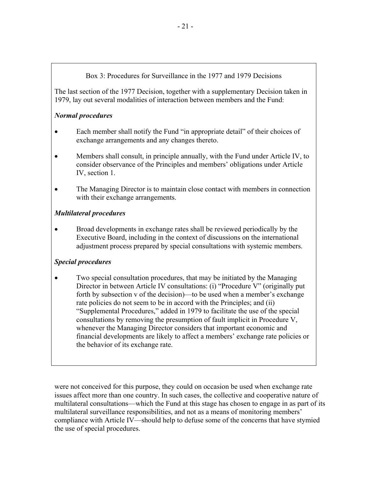#### Box 3: Procedures for Surveillance in the 1977 and 1979 Decisions

The last section of the 1977 Decision, together with a supplementary Decision taken in 1979, lay out several modalities of interaction between members and the Fund:

### *Normal procedures*

- Each member shall notify the Fund "in appropriate detail" of their choices of exchange arrangements and any changes thereto.
- Members shall consult, in principle annually, with the Fund under Article IV, to consider observance of the Principles and members' obligations under Article IV, section 1.
- The Managing Director is to maintain close contact with members in connection with their exchange arrangements.

### *Multilateral procedures*

• Broad developments in exchange rates shall be reviewed periodically by the Executive Board, including in the context of discussions on the international adjustment process prepared by special consultations with systemic members.

## *Special procedures*

• Two special consultation procedures, that may be initiated by the Managing Director in between Article IV consultations: (i) "Procedure V" (originally put forth by subsection v of the decision)—to be used when a member's exchange rate policies do not seem to be in accord with the Principles; and (ii) "Supplemental Procedures," added in 1979 to facilitate the use of the special consultations by removing the presumption of fault implicit in Procedure V, whenever the Managing Director considers that important economic and financial developments are likely to affect a members' exchange rate policies or the behavior of its exchange rate.

were not conceived for this purpose, they could on occasion be used when exchange rate issues affect more than one country. In such cases, the collective and cooperative nature of multilateral consultations—which the Fund at this stage has chosen to engage in as part of its multilateral surveillance responsibilities, and not as a means of monitoring members' compliance with Article IV—should help to defuse some of the concerns that have stymied the use of special procedures.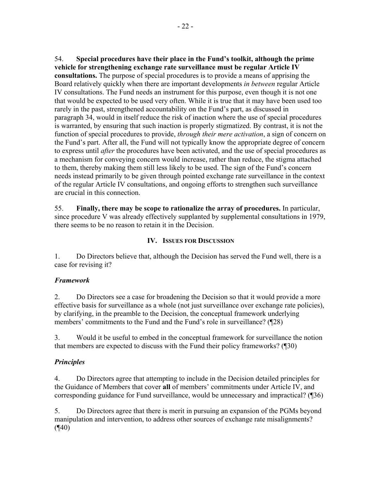54. **Special procedures have their place in the Fund's toolkit, although the prime vehicle for strengthening exchange rate surveillance must be regular Article IV consultations.** The purpose of special procedures is to provide a means of apprising the Board relatively quickly when there are important developments *in between* regular Article IV consultations. The Fund needs an instrument for this purpose, even though it is not one that would be expected to be used very often. While it is true that it may have been used too rarely in the past, strengthened accountability on the Fund's part, as discussed in paragraph 34, would in itself reduce the risk of inaction where the use of special procedures is warranted, by ensuring that such inaction is properly stigmatized. By contrast, it is not the function of special procedures to provide, *through their mere activation*, a sign of concern on the Fund's part. After all, the Fund will not typically know the appropriate degree of concern to express until *after* the procedures have been activated, and the use of special procedures as a mechanism for conveying concern would increase, rather than reduce, the stigma attached to them, thereby making them still less likely to be used. The sign of the Fund's concern needs instead primarily to be given through pointed exchange rate surveillance in the context of the regular Article IV consultations, and ongoing efforts to strengthen such surveillance are crucial in this connection.

55. **Finally, there may be scope to rationalize the array of procedures.** In particular, since procedure V was already effectively supplanted by supplemental consultations in 1979, there seems to be no reason to retain it in the Decision.

### **IV. ISSUES FOR DISCUSSION**

1. Do Directors believe that, although the Decision has served the Fund well, there is a case for revising it?

## *Framework*

2. Do Directors see a case for broadening the Decision so that it would provide a more effective basis for surveillance as a whole (not just surveillance over exchange rate policies), by clarifying, in the preamble to the Decision, the conceptual framework underlying members' commitments to the Fund and the Fund's role in surveillance? (¶28)

3. Would it be useful to embed in the conceptual framework for surveillance the notion that members are expected to discuss with the Fund their policy frameworks? (¶30)

## *Principles*

4. Do Directors agree that attempting to include in the Decision detailed principles for the Guidance of Members that cover **all** of members' commitments under Article IV, and corresponding guidance for Fund surveillance, would be unnecessary and impractical? (¶36)

5. Do Directors agree that there is merit in pursuing an expansion of the PGMs beyond manipulation and intervention, to address other sources of exchange rate misalignments?  $($ ¶40)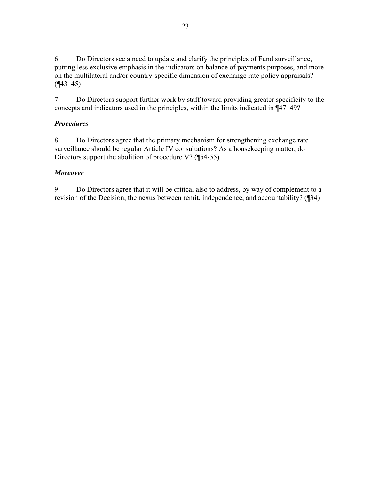6. Do Directors see a need to update and clarify the principles of Fund surveillance, putting less exclusive emphasis in the indicators on balance of payments purposes, and more on the multilateral and/or country-specific dimension of exchange rate policy appraisals?  $($ ¶43–45)

7. Do Directors support further work by staff toward providing greater specificity to the concepts and indicators used in the principles, within the limits indicated in ¶47–49?

#### *Procedures*

8. Do Directors agree that the primary mechanism for strengthening exchange rate surveillance should be regular Article IV consultations? As a housekeeping matter, do Directors support the abolition of procedure V? (¶54-55)

#### *Moreover*

9. Do Directors agree that it will be critical also to address, by way of complement to a revision of the Decision, the nexus between remit, independence, and accountability? (¶34)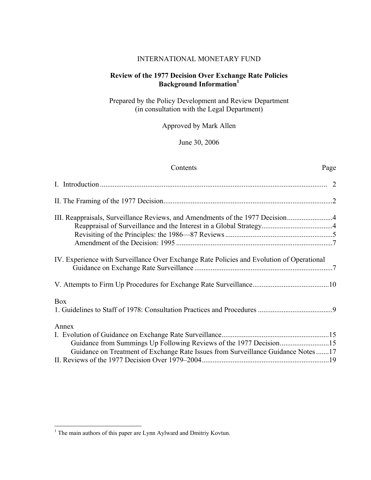#### INTERNATIONAL MONETARY FUND

#### **Review of the 1977 Decision Over Exchange Rate Policies Background Information<sup>1</sup>**

Prepared by the Policy Development and Review Department (in consultation with the Legal Department)

Approved by Mark Allen

June 30, 2006

| Contents                                                                                  | Page |
|-------------------------------------------------------------------------------------------|------|
|                                                                                           |      |
|                                                                                           |      |
| III. Reappraisals, Surveillance Reviews, and Amendments of the 1977 Decision              |      |
|                                                                                           |      |
|                                                                                           |      |
| IV. Experience with Surveillance Over Exchange Rate Policies and Evolution of Operational |      |
|                                                                                           |      |
| <b>Box</b>                                                                                |      |
| Annex                                                                                     |      |
|                                                                                           |      |
| Guidance from Summings Up Following Reviews of the 1977 Decision15                        |      |
| Guidance on Treatment of Exchange Rate Issues from Surveillance Guidance Notes17          |      |
|                                                                                           |      |

<sup>&</sup>lt;sup>1</sup> The main authors of this paper are Lynn Aylward and Dmitriy Kovtun.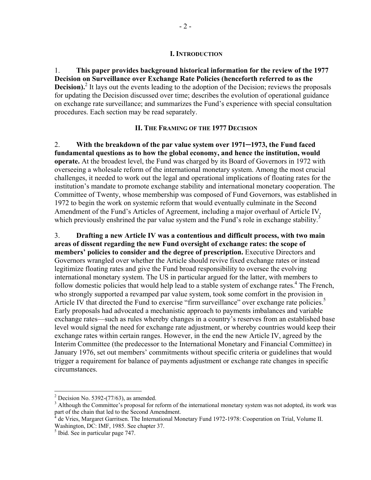1. **This paper provides background historical information for the review of the 1977 Decision on Surveillance over Exchange Rate Policies (henceforth referred to as the Decision).**<sup>2</sup> It lays out the events leading to the adoption of the Decision; reviews the proposals for updating the Decision discussed over time; describes the evolution of operational guidance on exchange rate surveillance; and summarizes the Fund's experience with special consultation procedures. Each section may be read separately.

#### **II. THE FRAMING OF THE 1977 DECISION**

2. **With the breakdown of the par value system over 1971─1973, the Fund faced fundamental questions as to how the global economy, and hence the institution, would operate.** At the broadest level, the Fund was charged by its Board of Governors in 1972 with overseeing a wholesale reform of the international monetary system. Among the most crucial challenges, it needed to work out the legal and operational implications of floating rates for the institution's mandate to promote exchange stability and international monetary cooperation. The Committee of Twenty, whose membership was composed of Fund Governors, was established in 1972 to begin the work on systemic reform that would eventually culminate in the Second Amendment of the Fund's Articles of Agreement, including a major overhaul of Article IV, which previously enshrined the par value system and the Fund's role in exchange stability.<sup>3</sup>

3. **Drafting a new Article IV was a contentious and difficult process, with two main areas of dissent regarding the new Fund oversight of exchange rates: the scope of members' policies to consider and the degree of prescription.** Executive Directors and Governors wrangled over whether the Article should revive fixed exchange rates or instead legitimize floating rates and give the Fund broad responsibility to oversee the evolving international monetary system. The US in particular argued for the latter, with members to follow domestic policies that would help lead to a stable system of exchange rates.<sup>4</sup> The French, who strongly supported a revamped par value system, took some comfort in the provision in Article IV that directed the Fund to exercise "firm surveillance" over exchange rate policies.<sup>5</sup> Early proposals had advocated a mechanistic approach to payments imbalances and variable exchange rates—such as rules whereby changes in a country's reserves from an established base level would signal the need for exchange rate adjustment, or whereby countries would keep their exchange rates within certain ranges. However, in the end the new Article IV, agreed by the Interim Committee (the predecessor to the International Monetary and Financial Committee) in January 1976, set out members' commitments without specific criteria or guidelines that would trigger a requirement for balance of payments adjustment or exchange rate changes in specific circumstances.

<sup>&</sup>lt;sup>2</sup> Decision No. 5392-(77/63), as amended.

 $3$  Although the Committee's proposal for reform of the international monetary system was not adopted, its work was part of the chain that led to the Second Amendment.<br><sup>4</sup> de Vries, Margaret Gerritson, The International Mo

de Vries, Margaret Garritsen. The International Monetary Fund 1972-1978: Cooperation on Trial, Volume II. Washington, DC: IMF, 1985. See chapter 37.

<sup>&</sup>lt;sup>5</sup> Ibid. See in particular page 747.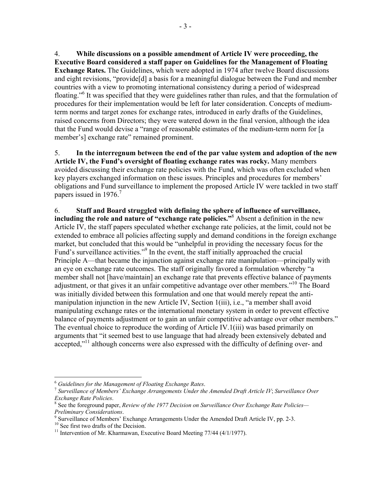4. **While discussions on a possible amendment of Article IV were proceeding, the Executive Board considered a staff paper on Guidelines for the Management of Floating Exchange Rates.** The Guidelines, which were adopted in 1974 after twelve Board discussions and eight revisions, "provide[d] a basis for a meaningful dialogue between the Fund and member countries with a view to promoting international consistency during a period of widespread floating."<sup>6</sup> It was specified that they were guidelines rather than rules, and that the formulation of procedures for their implementation would be left for later consideration. Concepts of mediumterm norms and target zones for exchange rates, introduced in early drafts of the Guidelines, raised concerns from Directors; they were watered down in the final version, although the idea that the Fund would devise a "range of reasonable estimates of the medium-term norm for [a member's] exchange rate" remained prominent.

5. **In the interregnum between the end of the par value system and adoption of the new Article IV, the Fund's oversight of floating exchange rates was rocky.** Many members avoided discussing their exchange rate policies with the Fund, which was often excluded when key players exchanged information on these issues. Principles and procedures for members' obligations and Fund surveillance to implement the proposed Article IV were tackled in two staff papers issued in 1976.<sup>7</sup>

6. **Staff and Board struggled with defining the sphere of influence of surveillance,**  including the role and nature of "exchange rate policies."<sup>8</sup> Absent a definition in the new Article IV, the staff papers speculated whether exchange rate policies, at the limit, could not be extended to embrace all policies affecting supply and demand conditions in the foreign exchange market, but concluded that this would be "unhelpful in providing the necessary focus for the Fund's surveillance activities."<sup>9</sup> In the event, the staff initially approached the crucial Principle A—that became the injunction against exchange rate manipulation—principally with an eye on exchange rate outcomes. The staff originally favored a formulation whereby "a member shall not [have/maintain] an exchange rate that prevents effective balance of payments adjustment, or that gives it an unfair competitive advantage over other members."10 The Board was initially divided between this formulation and one that would merely repeat the antimanipulation injunction in the new Article IV, Section 1(iii), i.e., "a member shall avoid manipulating exchange rates or the international monetary system in order to prevent effective balance of payments adjustment or to gain an unfair competitive advantage over other members." The eventual choice to reproduce the wording of Article IV.1(iii) was based primarily on arguments that "it seemed best to use language that had already been extensively debated and accepted."<sup>11</sup> although concerns were also expressed with the difficulty of defining over- and

<sup>6</sup> *Guidelines for the Management of Floating Exchange Rates*. 7 *Surveillance of Members' Exchange Arrangements Under the Amended Draft Article IV*; *Surveillance Over Exchange Rate Policies.* 

See the foreground paper, *Review of the 1977 Decision on Surveillance Over Exchange Rate Policies— Preliminary Considerations.*<br><sup>9</sup> Surveillance of Members' <sup>L</sup>

<sup>&</sup>lt;sup>9</sup> Surveillance of Members' Exchange Arrangements Under the Amended Draft Article IV, pp. 2-3.  $10$  See first two drafts of the Decision.

<sup>&</sup>lt;sup>10</sup> See first two drafts of the Decision.<br><sup>11</sup> Intervention of Mr. Kharmawan, Executive Board Meeting 77/44 (4/1/1977).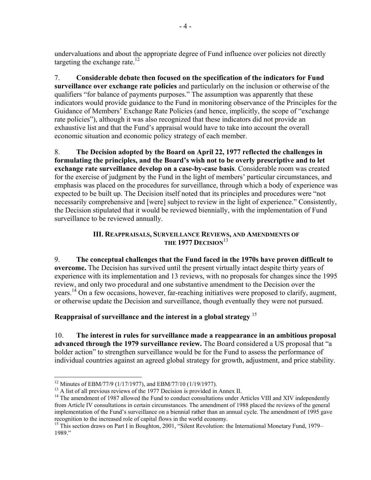undervaluations and about the appropriate degree of Fund influence over policies not directly targeting the exchange rate.<sup>12</sup>

7. **Considerable debate then focused on the specification of the indicators for Fund surveillance over exchange rate policies** and particularly on the inclusion or otherwise of the qualifiers "for balance of payments purposes." The assumption was apparently that these indicators would provide guidance to the Fund in monitoring observance of the Principles for the Guidance of Members' Exchange Rate Policies (and hence, implicitly, the scope of "exchange rate policies"), although it was also recognized that these indicators did not provide an exhaustive list and that the Fund's appraisal would have to take into account the overall economic situation and economic policy strategy of each member.

8. **The Decision adopted by the Board on April 22, 1977 reflected the challenges in formulating the principles, and the Board's wish not to be overly prescriptive and to let exchange rate surveillance develop on a case-by-case basis**. Considerable room was created for the exercise of judgment by the Fund in the light of members' particular circumstances, and emphasis was placed on the procedures for surveillance, through which a body of experience was expected to be built up. The Decision itself noted that its principles and procedures were "not necessarily comprehensive and [were] subject to review in the light of experience." Consistently, the Decision stipulated that it would be reviewed biennially, with the implementation of Fund surveillance to be reviewed annually.

#### **III. REAPPRAISALS, SURVEILLANCE REVIEWS, AND AMENDMENTS OF THE 1977 DECISION**<sup>13</sup>

9. **The conceptual challenges that the Fund faced in the 1970s have proven difficult to overcome.** The Decision has survived until the present virtually intact despite thirty years of experience with its implementation and 13 reviews, with no proposals for changes since the 1995 review, and only two procedural and one substantive amendment to the Decision over the years.<sup>14</sup> On a few occasions, however, far-reaching initiatives were proposed to clarify, augment, or otherwise update the Decision and surveillance, though eventually they were not pursued.

**Reappraisal of surveillance and the interest in a global strategy** <sup>15</sup>

10. **The interest in rules for surveillance made a reappearance in an ambitious proposal advanced through the 1979 surveillance review.** The Board considered a US proposal that "a bolder action" to strengthen surveillance would be for the Fund to assess the performance of individual countries against an agreed global strategy for growth, adjustment, and price stability.

<sup>&</sup>lt;sup>12</sup> Minutes of EBM/77/9 (1/17/1977), and EBM/77/10 (1/19/1977).<br><sup>13</sup> A list of all previous reviews of the 1977 Decision is provided in Annex II.

<sup>&</sup>lt;sup>14</sup> The amendment of 1987 allowed the Fund to conduct consultations under Articles VIII and XIV independently from Article IV consultations in certain circumstances. The amendment of 1988 placed the reviews of the general implementation of the Fund's surveillance on a biennial rather than an annual cycle. The amendment of 1995 gave recognition to the increased role of capital flows in the world economy.

<sup>&</sup>lt;sup>15</sup> This section draws on Part I in Boughton, 2001, "Silent Revolution: the International Monetary Fund, 1979– 1989."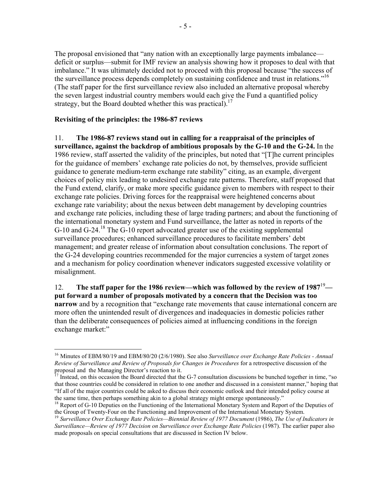The proposal envisioned that "any nation with an exceptionally large payments imbalance deficit or surplus—submit for IMF review an analysis showing how it proposes to deal with that imbalance." It was ultimately decided not to proceed with this proposal because "the success of the surveillance process depends completely on sustaining confidence and trust in relations.<sup>"16</sup> (The staff paper for the first surveillance review also included an alternative proposal whereby the seven largest industrial country members would each give the Fund a quantified policy strategy, but the Board doubted whether this was practical).<sup>17</sup>

#### **Revisiting of the principles: the 1986-87 reviews**

1

11. **The 1986-87 reviews stand out in calling for a reappraisal of the principles of surveillance, against the backdrop of ambitious proposals by the G-10 and the G-24.** In the 1986 review, staff asserted the validity of the principles, but noted that "[T]he current principles for the guidance of members' exchange rate policies do not, by themselves, provide sufficient guidance to generate medium-term exchange rate stability" citing, as an example, divergent choices of policy mix leading to undesired exchange rate patterns. Therefore, staff proposed that the Fund extend, clarify, or make more specific guidance given to members with respect to their exchange rate policies. Driving forces for the reappraisal were heightened concerns about exchange rate variability; about the nexus between debt management by developing countries and exchange rate policies, including these of large trading partners; and about the functioning of the international monetary system and Fund surveillance, the latter as noted in reports of the G-10 and G-24.<sup>18</sup> The G-10 report advocated greater use of the existing supplemental surveillance procedures; enhanced surveillance procedures to facilitate members' debt management; and greater release of information about consultation conclusions. The report of the G-24 developing countries recommended for the major currencies a system of target zones and a mechanism for policy coordination whenever indicators suggested excessive volatility or misalignment.

12. **The staff paper for the 1986 review—which was followed by the review of 1987**<sup>19</sup> **put forward a number of proposals motivated by a concern that the Decision was too narrow** and by a recognition that "exchange rate movements that cause international concern are more often the unintended result of divergences and inadequacies in domestic policies rather than the deliberate consequences of policies aimed at influencing conditions in the foreign exchange market:"

<sup>16</sup> Minutes of EBM/80/19 and EBM/80/20 (2/6/1980). See also *Surveillance over Exchange Rate Policies - Annual Review of Surveillance and Review of Proposals for Changes in Procedures* for a retrospective discussion of the proposal and the Managing Director's reaction to it.

 $17$  Instead, on this occasion the Board directed that the G-7 consultation discussions be bunched together in time, "so that those countries could be considered in relation to one another and discussed in a consistent manner," hoping that "If all of the major countries could be asked to discuss their economic outlook and their intended policy course at the same time, then perhaps something akin to a global strategy might emerge spontaneously."

<sup>&</sup>lt;sup>18</sup> Report of G-10 Deputies on the Functioning of the International Monetary System and Report of the Deputies of the Group of Twenty-Four on the Functioning and Improvement of the International Monetary System.

<sup>&</sup>lt;sup>19</sup> Surveillance Over Exchange Rate Policies—Biennial Review of 1977 Document (1986), The Use of Indicators in *Surveillance—Review of 1977 Decision on Surveillance over Exchange Rate Policies (1987).* The earlier paper also made proposals on special consultations that are discussed in Section IV below.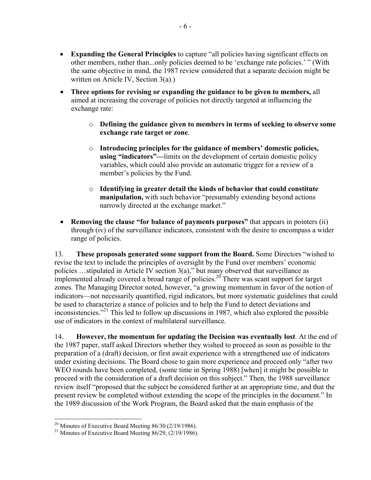- **Expanding the General Principles** to capture "all policies having significant effects on other members, rather than...only policies deemed to be 'exchange rate policies.' " (With the same objective in mind, the 1987 review considered that a separate decision might be written on Article IV, Section 3(a).)
- **Three options for revising or expanding the guidance to be given to members,** all aimed at increasing the coverage of policies not directly targeted at influencing the exchange rate:
	- o **Defining the guidance given to members in terms of seeking to observe some exchange rate target or zone**.
	- o **Introducing principles for the guidance of members' domestic policies, using "indicators"—**limits on the development of certain domestic policy variables, which could also provide an automatic trigger for a review of a member's policies by the Fund.
	- o **Identifying in greater detail the kinds of behavior that could constitute manipulation,** with such behavior "presumably extending beyond actions" narrowly directed at the exchange market."
- **Removing the clause "for balance of payments purposes"** that appears in pointers (ii) through (iv) of the surveillance indicators, consistent with the desire to encompass a wider range of policies.

13. **These proposals generated some support from the Board.** Some Directors "wished to revise the text to include the principles of oversight by the Fund over members' economic policies …stipulated in Article IV section 3(a)," but many observed that surveillance as implemented already covered a broad range of policies.<sup>20</sup> There was scant support for target zones. The Managing Director noted, however, "a growing momentum in favor of the notion of indicators—not necessarily quantified, rigid indicators, but more systematic guidelines that could be used to characterize a stance of policies and to help the Fund to detect deviations and inconsistencies. $^{221}$  This led to follow up discussions in 1987, which also explored the possible use of indicators in the context of multilateral surveillance.

14. **However, the momentum for updating the Decision was eventually lost**. At the end of the 1987 paper, staff asked Directors whether they wished to proceed as soon as possible to the preparation of a (draft) decision, or first await experience with a strengthened use of indicators under existing decisions. The Board chose to gain more experience and proceed only "after two WEO rounds have been completed, (some time in Spring 1988) [when] it might be possible to proceed with the consideration of a draft decision on this subject." Then, the 1988 surveillance review itself "proposed that the subject be considered further at an appropriate time, and that the present review be completed without extending the scope of the principles in the document." In the 1989 discussion of the Work Program, the Board asked that the main emphasis of the

 $20$  Minutes of Executive Board Meeting 86/30 (2/19/1986).

<sup>&</sup>lt;sup>21</sup> Minutes of Executive Board Meeting  $86/29$ ,  $(2/19/1986)$ .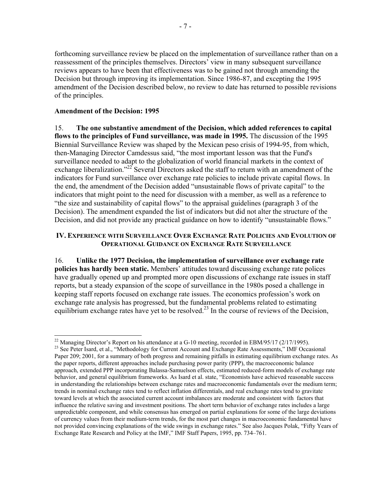forthcoming surveillance review be placed on the implementation of surveillance rather than on a reassessment of the principles themselves. Directors' view in many subsequent surveillance reviews appears to have been that effectiveness was to be gained not through amending the Decision but through improving its implementation. Since 1986-87, and excepting the 1995 amendment of the Decision described below, no review to date has returned to possible revisions of the principles.

#### **Amendment of the Decision: 1995**

1

15. **The one substantive amendment of the Decision, which added references to capital flows to the principles of Fund surveillance, was made in 1995.** The discussion of the 1995 Biennial Surveillance Review was shaped by the Mexican peso crisis of 1994-95, from which, then-Managing Director Camdessus said, "the most important lesson was that the Fund's surveillance needed to adapt to the globalization of world financial markets in the context of exchange liberalization."<sup>22</sup> Several Directors asked the staff to return with an amendment of the indicators for Fund surveillance over exchange rate policies to include private capital flows. In the end, the amendment of the Decision added "unsustainable flows of private capital" to the indicators that might point to the need for discussion with a member, as well as a reference to "the size and sustainability of capital flows" to the appraisal guidelines (paragraph 3 of the Decision). The amendment expanded the list of indicators but did not alter the structure of the Decision, and did not provide any practical guidance on how to identify "unsustainable flows."

#### **IV. EXPERIENCE WITH SURVEILLANCE OVER EXCHANGE RATE POLICIES AND EVOLUTION OF OPERATIONAL GUIDANCE ON EXCHANGE RATE SURVEILLANCE**

16. **Unlike the 1977 Decision, the implementation of surveillance over exchange rate policies has hardly been static.** Members' attitudes toward discussing exchange rate polices have gradually opened up and prompted more open discussions of exchange rate issues in staff reports, but a steady expansion of the scope of surveillance in the 1980s posed a challenge in keeping staff reports focused on exchange rate issues. The economics profession's work on exchange rate analysis has progressed, but the fundamental problems related to estimating equilibrium exchange rates have yet to be resolved.<sup>23</sup> In the course of reviews of the Decision,

<sup>&</sup>lt;sup>22</sup> Managing Director's Report on his attendance at a G-10 meeting, recorded in EBM/95/17 (2/17/1995).

<sup>&</sup>lt;sup>23</sup> See Peter Isard, et al., "Methodology for Current Account and Exchange Rate Assessments," IMF Occasional Paper 209; 2001, for a summary of both progress and remaining pitfalls in estimating equilibrium exchange rates. As the paper reports, different approaches include purchasing power parity (PPP), the macroeconomic balance approach, extended PPP incorporating Balassa-Samuelson effects, estimated reduced-form models of exchange rate behavior, and general equilibrium frameworks. As Isard et al. state, "Economists have achieved reasonable success in understanding the relationships between exchange rates and macroeconomic fundamentals over the medium term; trends in nominal exchange rates tend to reflect inflation differentials, and real exchange rates tend to gravitate toward levels at which the associated current account imbalances are moderate and consistent with factors that influence the relative saving and investment positions. The short term behavior of exchange rates includes a large unpredictable component, and while consensus has emerged on partial explanations for some of the large deviations of currency values from their medium-term trends, for the most part changes in macroeconomic fundamental have not provided convincing explanations of the wide swings in exchange rates." See also Jacques Polak, "Fifty Years of Exchange Rate Research and Policy at the IMF," IMF Staff Papers, 1995, pp. 734–761.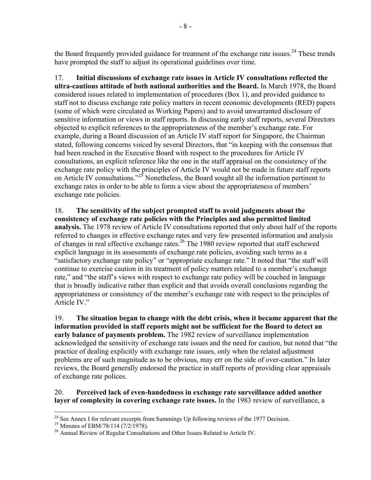the Board frequently provided guidance for treatment of the exchange rate issues.<sup>24</sup> These trends have prompted the staff to adjust its operational guidelines over time.

17. **Initial discussions of exchange rate issues in Article IV consultations reflected the ultra-cautious attitude of both national authorities and the Board.** In March 1978, the Board considered issues related to implementation of procedures (Box 1), and provided guidance to staff not to discuss exchange rate policy matters in recent economic developments (RED) papers (some of which were circulated as Working Papers) and to avoid unwarranted disclosure of sensitive information or views in staff reports. In discussing early staff reports, several Directors objected to explicit references to the appropriateness of the member's exchange rate. For example, during a Board discussion of an Article IV staff report for Singapore, the Chairman stated, following concerns voiced by several Directors, that "in keeping with the consensus that had been reached in the Executive Board with respect to the procedures for Article IV consultations, an explicit reference like the one in the staff appraisal on the consistency of the exchange rate policy with the principles of Article IV would not be made in future staff reports on Article IV consultations."<sup>25</sup> Nonetheless, the Board sought all the information pertinent to exchange rates in order to be able to form a view about the appropriateness of members' exchange rate policies.

18. **The sensitivity of the subject prompted staff to avoid judgments about the consistency of exchange rate policies with the Principles and also permitted limited analysis.** The 1978 review of Article IV consultations reported that only about half of the reports referred to changes in effective exchange rates and very few presented information and analysis of changes in real effective exchange rates.26 The 1980 review reported that staff eschewed explicit language in its assessments of exchange rate policies, avoiding such terms as a "satisfactory exchange rate policy" or "appropriate exchange rate." It noted that "the staff will continue to exercise caution in its treatment of policy matters related to a member's exchange rate," and "the staff's views with respect to exchange rate policy will be couched in language that is broadly indicative rather than explicit and that avoids overall conclusions regarding the appropriateness or consistency of the member's exchange rate with respect to the principles of Article IV."

19. **The situation began to change with the debt crisis, when it became apparent that the information provided in staff reports might not be sufficient for the Board to detect an early balance of payments problem.** The 1982 review of surveillance implementation acknowledged the sensitivity of exchange rate issues and the need for caution, but noted that "the practice of dealing explicitly with exchange rate issues, only when the related adjustment problems are of such magnitude as to be obvious, may err on the side of over-caution." In later reviews, the Board generally endorsed the practice in staff reports of providing clear appraisals of exchange rate polices.

#### 20. **Perceived lack of even-handedness in exchange rate surveillance added another layer of complexity in covering exchange rate issues.** In the 1983 review of surveillance, a

<sup>1</sup>  $^{24}$  See Annex I for relevant excerpts from Summings Up following reviews of the 1977 Decision.

<sup>&</sup>lt;sup>25</sup> Minutes of EBM/78/114 (7/2/1978).

<sup>&</sup>lt;sup>26</sup> Annual Review of Regular Consultations and Other Issues Related to Article IV.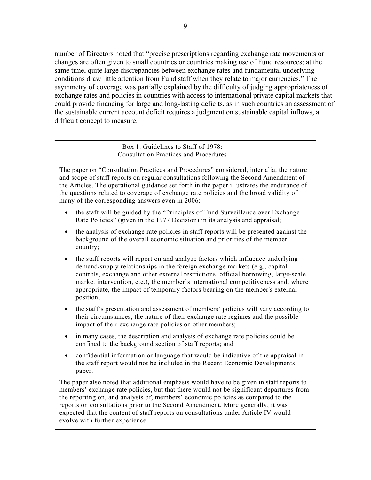number of Directors noted that "precise prescriptions regarding exchange rate movements or changes are often given to small countries or countries making use of Fund resources; at the same time, quite large discrepancies between exchange rates and fundamental underlying conditions draw little attention from Fund staff when they relate to major currencies." The asymmetry of coverage was partially explained by the difficulty of judging appropriateness of exchange rates and policies in countries with access to international private capital markets that could provide financing for large and long-lasting deficits, as in such countries an assessment of the sustainable current account deficit requires a judgment on sustainable capital inflows, a difficult concept to measure.

#### Box 1. Guidelines to Staff of 1978: Consultation Practices and Procedures

The paper on "Consultation Practices and Procedures" considered, inter alia, the nature and scope of staff reports on regular consultations following the Second Amendment of the Articles. The operational guidance set forth in the paper illustrates the endurance of the questions related to coverage of exchange rate policies and the broad validity of many of the corresponding answers even in 2006:

- the staff will be guided by the "Principles of Fund Surveillance over Exchange" Rate Policies" (given in the 1977 Decision) in its analysis and appraisal;
- the analysis of exchange rate policies in staff reports will be presented against the background of the overall economic situation and priorities of the member country;
- the staff reports will report on and analyze factors which influence underlying demand/supply relationships in the foreign exchange markets (e.g., capital controls, exchange and other external restrictions, official borrowing, large-scale market intervention, etc.), the member's international competitiveness and, where appropriate, the impact of temporary factors bearing on the member's external position;
- the staff's presentation and assessment of members' policies will vary according to their circumstances, the nature of their exchange rate regimes and the possible impact of their exchange rate policies on other members;
- in many cases, the description and analysis of exchange rate policies could be confined to the background section of staff reports; and
- confidential information or language that would be indicative of the appraisal in the staff report would not be included in the Recent Economic Developments paper.

The paper also noted that additional emphasis would have to be given in staff reports to members' exchange rate policies, but that there would not be significant departures from the reporting on, and analysis of, members' economic policies as compared to the reports on consultations prior to the Second Amendment. More generally, it was expected that the content of staff reports on consultations under Article IV would evolve with further experience.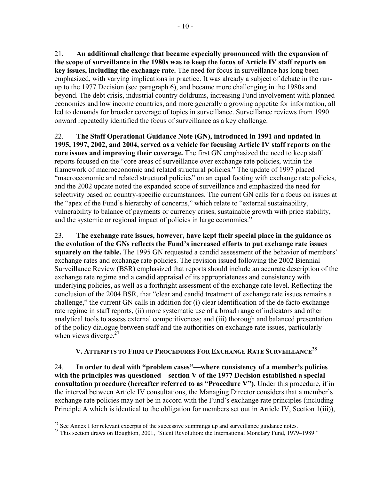21. **An additional challenge that became especially pronounced with the expansion of the scope of surveillance in the 1980s was to keep the focus of Article IV staff reports on key issues, including the exchange rate.** The need for focus in surveillance has long been emphasized, with varying implications in practice. It was already a subject of debate in the runup to the 1977 Decision (see paragraph 6), and became more challenging in the 1980s and beyond. The debt crisis, industrial country doldrums, increasing Fund involvement with planned economies and low income countries, and more generally a growing appetite for information, all led to demands for broader coverage of topics in surveillance. Surveillance reviews from 1990 onward repeatedly identified the focus of surveillance as a key challenge.

22. **The Staff Operational Guidance Note (GN), introduced in 1991 and updated in 1995, 1997, 2002, and 2004, served as a vehicle for focusing Article IV staff reports on the core issues and improving their coverage.** The first GN emphasized the need to keep staff reports focused on the "core areas of surveillance over exchange rate policies, within the framework of macroeconomic and related structural policies." The update of 1997 placed "macroeconomic and related structural policies" on an equal footing with exchange rate policies, and the 2002 update noted the expanded scope of surveillance and emphasized the need for selectivity based on country-specific circumstances. The current GN calls for a focus on issues at the "apex of the Fund's hierarchy of concerns," which relate to "external sustainability, vulnerability to balance of payments or currency crises, sustainable growth with price stability, and the systemic or regional impact of policies in large economies."

23. **The exchange rate issues, however, have kept their special place in the guidance as the evolution of the GNs reflects the Fund's increased efforts to put exchange rate issues squarely on the table.** The 1995 GN requested a candid assessment of the behavior of members' exchange rates and exchange rate policies. The revision issued following the 2002 Biennial Surveillance Review (BSR) emphasized that reports should include an accurate description of the exchange rate regime and a candid appraisal of its appropriateness and consistency with underlying policies, as well as a forthright assessment of the exchange rate level. Reflecting the conclusion of the 2004 BSR, that "clear and candid treatment of exchange rate issues remains a challenge," the current GN calls in addition for (i) clear identification of the de facto exchange rate regime in staff reports, (ii) more systematic use of a broad range of indicators and other analytical tools to assess external competitiveness; and (iii) thorough and balanced presentation of the policy dialogue between staff and the authorities on exchange rate issues, particularly when views diverge. $27$ 

# **V. ATTEMPTS TO FIRM UP PROCEDURES FOR EXCHANGE RATE SURVEILLANCE<sup>28</sup>**

24. **In order to deal with "problem cases"—where consistency of a member's policies with the principles was questioned—section V of the 1977 Decision established a special consultation procedure (hereafter referred to as "Procedure V")**. Under this procedure, if in the interval between Article IV consultations, the Managing Director considers that a member's exchange rate policies may not be in accord with the Fund's exchange rate principles (including Principle A which is identical to the obligation for members set out in Article IV, Section 1(iii)),

1

 $27$  See Annex I for relevant excerpts of the successive summings up and surveillance guidance notes.

<sup>&</sup>lt;sup>28</sup> This section draws on Boughton, 2001, "Silent Revolution: the International Monetary Fund, 1979–1989."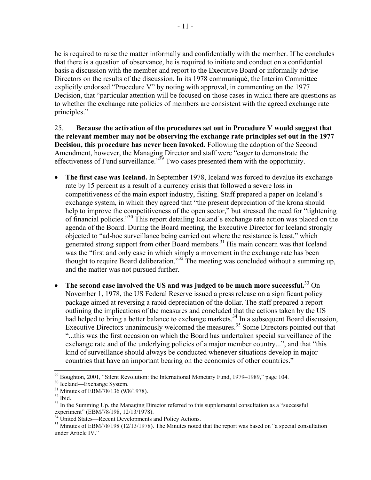he is required to raise the matter informally and confidentially with the member. If he concludes that there is a question of observance, he is required to initiate and conduct on a confidential basis a discussion with the member and report to the Executive Board or informally advise Directors on the results of the discussion. In its 1978 communiqué, the Interim Committee explicitly endorsed "Procedure V" by noting with approval, in commenting on the 1977 Decision, that "particular attention will be focused on those cases in which there are questions as to whether the exchange rate policies of members are consistent with the agreed exchange rate principles."

25. **Because the activation of the procedures set out in Procedure V would suggest that the relevant member may not be observing the exchange rate principles set out in the 1977 Decision, this procedure has never been invoked.** Following the adoption of the Second Amendment, however, the Managing Director and staff were "eager to demonstrate the effectiveness of Fund surveillance."<sup>29</sup> Two cases presented them with the opportunity.

- **The first case was Iceland.** In September 1978, Iceland was forced to devalue its exchange rate by 15 percent as a result of a currency crisis that followed a severe loss in competitiveness of the main export industry, fishing. Staff prepared a paper on Iceland's exchange system, in which they agreed that "the present depreciation of the krona should help to improve the competitiveness of the open sector," but stressed the need for "tightening of financial policies."30 This report detailing Iceland's exchange rate action was placed on the agenda of the Board. During the Board meeting, the Executive Director for Iceland strongly objected to "ad-hoc surveillance being carried out where the resistance is least," which generated strong support from other Board members.<sup>31</sup> His main concern was that Iceland was the "first and only case in which simply a movement in the exchange rate has been thought to require Board deliberation."32 The meeting was concluded without a summing up, and the matter was not pursued further.
- **The second case involved the US and was judged to be much more successful.**33 On November 1, 1978, the US Federal Reserve issued a press release on a significant policy package aimed at reversing a rapid depreciation of the dollar. The staff prepared a report outlining the implications of the measures and concluded that the actions taken by the US had helped to bring a better balance to exchange markets.<sup>34</sup> In a subsequent Board discussion, Executive Directors unanimously welcomed the measures.<sup>35</sup> Some Directors pointed out that "...this was the first occasion on which the Board has undertaken special surveillance of the exchange rate and of the underlying policies of a major member country...", and that "this kind of surveillance should always be conducted whenever situations develop in major countries that have an important bearing on the economies of other countries."

 $\overline{a}$ <sup>29</sup> Boughton, 2001, "Silent Revolution: the International Monetary Fund, 1979–1989," page 104.<br><sup>30</sup> Iceland—Exchange System.

<sup>&</sup>lt;sup>31</sup> Minutes of EBM/78/136 (9/8/1978).

 $32$  Ibid.

<sup>&</sup>lt;sup>33</sup> In the Summing Up, the Managing Director referred to this supplemental consultation as a "successful experiment" (EBM/78/198, 12/13/1978).

<sup>&</sup>lt;sup>34</sup> United States—Recent Developments and Policy Actions.

 $35$  Minutes of EBM/78/198 (12/13/1978). The Minutes noted that the report was based on "a special consultation" under Article IV."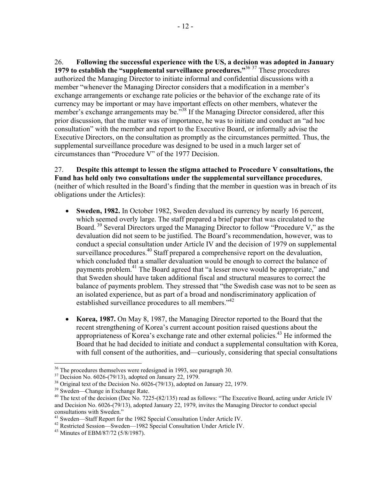26. **Following the successful experience with the US, a decision was adopted in January 1979 to establish the "supplemental surveillance procedures."**<sup>36</sup> 37 These procedures authorized the Managing Director to initiate informal and confidential discussions with a member "whenever the Managing Director considers that a modification in a member's exchange arrangements or exchange rate policies or the behavior of the exchange rate of its currency may be important or may have important effects on other members, whatever the member's exchange arrangements may be.<sup>338</sup> If the Managing Director considered, after this prior discussion, that the matter was of importance, he was to initiate and conduct an "ad hoc consultation" with the member and report to the Executive Board, or informally advise the Executive Directors, on the consultation as promptly as the circumstances permitted. Thus, the supplemental surveillance procedure was designed to be used in a much larger set of circumstances than "Procedure V" of the 1977 Decision.

27. **Despite this attempt to lessen the stigma attached to Procedure V consultations, the Fund has held only two consultations under the supplemental surveillance procedures**, (neither of which resulted in the Board's finding that the member in question was in breach of its obligations under the Articles):

- **Sweden, 1982.** In October 1982, Sweden devalued its currency by nearly 16 percent, which seemed overly large. The staff prepared a brief paper that was circulated to the Board.<sup>39</sup> Several Directors urged the Managing Director to follow "Procedure V," as the devaluation did not seem to be justified. The Board's recommendation, however, was to conduct a special consultation under Article IV and the decision of 1979 on supplemental surveillance procedures.<sup>40</sup> Staff prepared a comprehensive report on the devaluation, which concluded that a smaller devaluation would be enough to correct the balance of payments problem.<sup>41</sup> The Board agreed that "a lesser move would be appropriate," and that Sweden should have taken additional fiscal and structural measures to correct the balance of payments problem. They stressed that "the Swedish case was not to be seen as an isolated experience, but as part of a broad and nondiscriminatory application of established surveillance procedures to all members.<sup>"42</sup>
- **Korea, 1987.** On May 8, 1987, the Managing Director reported to the Board that the recent strengthening of Korea's current account position raised questions about the appropriateness of Korea's exchange rate and other external policies.<sup>43</sup> He informed the Board that he had decided to initiate and conduct a supplemental consultation with Korea, with full consent of the authorities, and—curiously, considering that special consultations

 $\overline{a}$ <sup>36</sup> The procedures themselves were redesigned in 1993, see paragraph 30.

<sup>37</sup> Decision No. 6026-(79/13), adopted on January 22, 1979.

<sup>&</sup>lt;sup>38</sup> Original text of the Decision No. 6026-(79/13), adopted on January 22, 1979.

<sup>39</sup> Sweden—Change in Exchange Rate.

 $^{40}$  The text of the decision (Dec No. 7225-(82/135) read as follows: "The Executive Board, acting under Article IV and Decision No. 6026-(79/13), adopted January 22, 1979, invites the Managing Director to conduct special consultations with Sweden."<br><sup>41</sup> Sweden—Staff Report for the 1982 Special Consultation Under Article IV.

<sup>&</sup>lt;sup>42</sup> Restricted Session—Sweden—1982 Special Consultation Under Article IV.

<sup>43</sup> Minutes of EBM/87/72 (5/8/1987).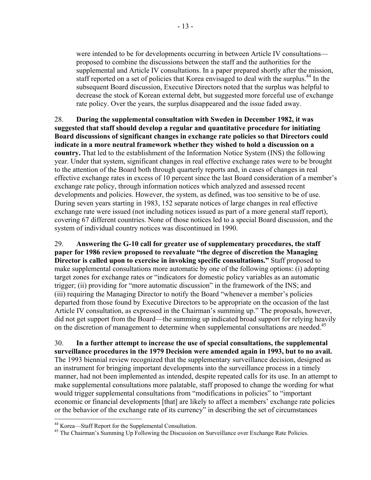were intended to be for developments occurring in between Article IV consultations proposed to combine the discussions between the staff and the authorities for the supplemental and Article IV consultations. In a paper prepared shortly after the mission, staff reported on a set of policies that Korea envisaged to deal with the surplus.<sup>44</sup> In the subsequent Board discussion, Executive Directors noted that the surplus was helpful to decrease the stock of Korean external debt, but suggested more forceful use of exchange rate policy. Over the years, the surplus disappeared and the issue faded away.

28. **During the supplemental consultation with Sweden in December 1982, it was suggested that staff should develop a regular and quantitative procedure for initiating Board discussions of significant changes in exchange rate policies so that Directors could indicate in a more neutral framework whether they wished to hold a discussion on a country.** That led to the establishment of the Information Notice System (INS) the following year. Under that system, significant changes in real effective exchange rates were to be brought to the attention of the Board both through quarterly reports and, in cases of changes in real effective exchange rates in excess of 10 percent since the last Board consideration of a member's exchange rate policy, through information notices which analyzed and assessed recent developments and policies. However, the system, as defined, was too sensitive to be of use. During seven years starting in 1983, 152 separate notices of large changes in real effective exchange rate were issued (not including notices issued as part of a more general staff report), covering 67 different countries. None of those notices led to a special Board discussion, and the system of individual country notices was discontinued in 1990.

29. **Answering the G-10 call for greater use of supplementary procedures, the staff paper for 1986 review proposed to reevaluate "the degree of discretion the Managing Director is called upon to exercise in invoking specific consultations."** Staff proposed to make supplemental consultations more automatic by one of the following options: (i) adopting target zones for exchange rates or "indicators for domestic policy variables as an automatic trigger; (ii) providing for "more automatic discussion" in the framework of the INS; and (iii) requiring the Managing Director to notify the Board "whenever a member's policies departed from those found by Executive Directors to be appropriate on the occasion of the last Article IV consultation, as expressed in the Chairman's summing up." The proposals, however, did not get support from the Board—the summing up indicated broad support for relying heavily on the discretion of management to determine when supplemental consultations are needed.<sup>45</sup>

30. **In a further attempt to increase the use of special consultations, the supplemental surveillance procedures in the 1979 Decision were amended again in 1993, but to no avail.** The 1993 biennial review recognized that the supplementary surveillance decision, designed as an instrument for bringing important developments into the surveillance process in a timely manner, had not been implemented as intended, despite repeated calls for its use. In an attempt to make supplemental consultations more palatable, staff proposed to change the wording for what would trigger supplemental consultations from "modifications in policies" to "important economic or financial developments [that] are likely to affect a members' exchange rate policies or the behavior of the exchange rate of its currency" in describing the set of circumstances

1

<sup>44</sup> Korea—Staff Report for the Supplemental Consultation.

<sup>&</sup>lt;sup>45</sup> The Chairman's Summing Up Following the Discussion on Surveillance over Exchange Rate Policies.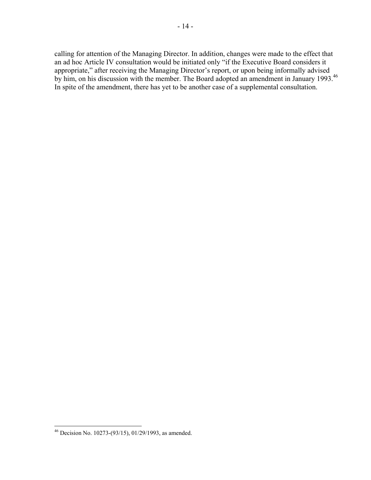calling for attention of the Managing Director. In addition, changes were made to the effect that an ad hoc Article IV consultation would be initiated only "if the Executive Board considers it appropriate," after receiving the Managing Director's report, or upon being informally advised by him, on his discussion with the member. The Board adopted an amendment in January 1993.<sup>46</sup> In spite of the amendment, there has yet to be another case of a supplemental consultation.

<u>.</u>

 $^{46}$  Decision No. 10273-(93/15), 01/29/1993, as amended.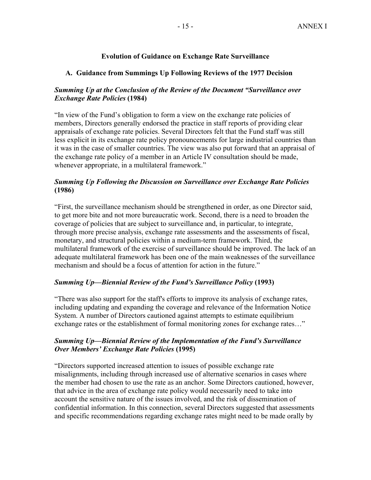### **Evolution of Guidance on Exchange Rate Surveillance**

#### **A. Guidance from Summings Up Following Reviews of the 1977 Decision**

### *Summing Up at the Conclusion of the Review of the Document "Surveillance over Exchange Rate Policies* **(1984)**

"In view of the Fund's obligation to form a view on the exchange rate policies of members, Directors generally endorsed the practice in staff reports of providing clear appraisals of exchange rate policies. Several Directors felt that the Fund staff was still less explicit in its exchange rate policy pronouncements for large industrial countries than it was in the case of smaller countries. The view was also put forward that an appraisal of the exchange rate policy of a member in an Article IV consultation should be made, whenever appropriate, in a multilateral framework."

### *Summing Up Following the Discussion on Surveillance over Exchange Rate Policies*  **(1986)**

"First, the surveillance mechanism should be strengthened in order, as one Director said, to get more bite and not more bureaucratic work. Second, there is a need to broaden the coverage of policies that are subject to surveillance and, in particular, to integrate, through more precise analysis, exchange rate assessments and the assessments of fiscal, monetary, and structural policies within a medium-term framework. Third, the multilateral framework of the exercise of surveillance should be improved. The lack of an adequate multilateral framework has been one of the main weaknesses of the surveillance mechanism and should be a focus of attention for action in the future."

#### *Summing Up—Biennial Review of the Fund's Surveillance Policy* **(1993)**

"There was also support for the staff's efforts to improve its analysis of exchange rates, including updating and expanding the coverage and relevance of the Information Notice System. A number of Directors cautioned against attempts to estimate equilibrium exchange rates or the establishment of formal monitoring zones for exchange rates..."

#### *Summing Up—Biennial Review of the Implementation of the Fund's Surveillance Over Members' Exchange Rate Policies* **(1995)**

"Directors supported increased attention to issues of possible exchange rate misalignments, including through increased use of alternative scenarios in cases where the member had chosen to use the rate as an anchor. Some Directors cautioned, however, that advice in the area of exchange rate policy would necessarily need to take into account the sensitive nature of the issues involved, and the risk of dissemination of confidential information. In this connection, several Directors suggested that assessments and specific recommendations regarding exchange rates might need to be made orally by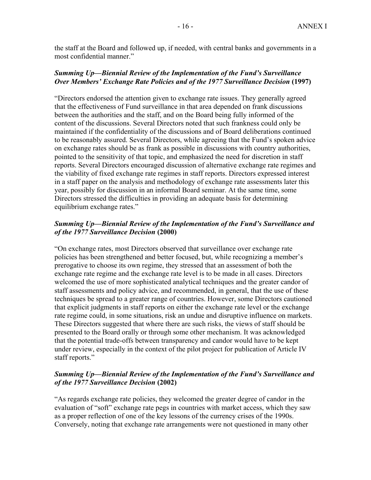the staff at the Board and followed up, if needed, with central banks and governments in a most confidential manner."

#### *Summing Up—Biennial Review of the Implementation of the Fund's Surveillance Over Members' Exchange Rate Policies and of the 1977 Surveillance Decision (1997)*

"Directors endorsed the attention given to exchange rate issues. They generally agreed that the effectiveness of Fund surveillance in that area depended on frank discussions between the authorities and the staff, and on the Board being fully informed of the content of the discussions. Several Directors noted that such frankness could only be maintained if the confidentiality of the discussions and of Board deliberations continued to be reasonably assured. Several Directors, while agreeing that the Fund's spoken advice on exchange rates should be as frank as possible in discussions with country authorities, pointed to the sensitivity of that topic, and emphasized the need for discretion in staff reports. Several Directors encouraged discussion of alternative exchange rate regimes and the viability of fixed exchange rate regimes in staff reports. Directors expressed interest in a staff paper on the analysis and methodology of exchange rate assessments later this year, possibly for discussion in an informal Board seminar. At the same time, some Directors stressed the difficulties in providing an adequate basis for determining equilibrium exchange rates."

#### *Summing Up—Biennial Review of the Implementation of the Fund's Surveillance and of the 1977 Surveillance Decision* **(2000)**

"On exchange rates, most Directors observed that surveillance over exchange rate policies has been strengthened and better focused, but, while recognizing a member's prerogative to choose its own regime, they stressed that an assessment of both the exchange rate regime and the exchange rate level is to be made in all cases. Directors welcomed the use of more sophisticated analytical techniques and the greater candor of staff assessments and policy advice, and recommended, in general, that the use of these techniques be spread to a greater range of countries. However, some Directors cautioned that explicit judgments in staff reports on either the exchange rate level or the exchange rate regime could, in some situations, risk an undue and disruptive influence on markets. These Directors suggested that where there are such risks, the views of staff should be presented to the Board orally or through some other mechanism. It was acknowledged that the potential trade-offs between transparency and candor would have to be kept under review, especially in the context of the pilot project for publication of Article IV staff reports."

#### *Summing Up—Biennial Review of the Implementation of the Fund's Surveillance and of the 1977 Surveillance Decision* **(2002)**

"As regards exchange rate policies, they welcomed the greater degree of candor in the evaluation of "soft" exchange rate pegs in countries with market access, which they saw as a proper reflection of one of the key lessons of the currency crises of the 1990s. Conversely, noting that exchange rate arrangements were not questioned in many other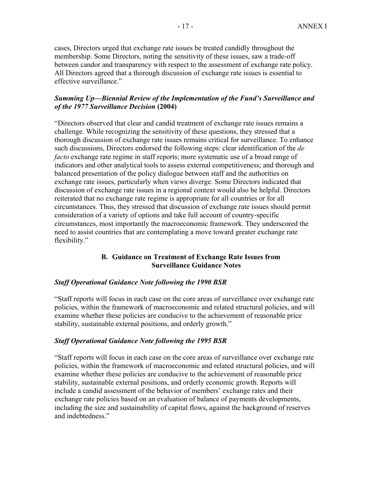cases, Directors urged that exchange rate issues be treated candidly throughout the membership. Some Directors, noting the sensitivity of these issues, saw a trade-off between candor and transparency with respect to the assessment of exchange rate policy. All Directors agreed that a thorough discussion of exchange rate issues is essential to effective surveillance."

#### *Summing Up—Biennial Review of the Implementation of the Fund's Surveillance and of the 1977 Surveillance Decision* **(2004)**

"Directors observed that clear and candid treatment of exchange rate issues remains a challenge. While recognizing the sensitivity of these questions, they stressed that a thorough discussion of exchange rate issues remains critical for surveillance. To enhance such discussions, Directors endorsed the following steps: clear identification of the *de facto* exchange rate regime in staff reports; more systematic use of a broad range of indicators and other analytical tools to assess external competitiveness; and thorough and balanced presentation of the policy dialogue between staff and the authorities on exchange rate issues, particularly when views diverge. Some Directors indicated that discussion of exchange rate issues in a regional context would also be helpful. Directors reiterated that no exchange rate regime is appropriate for all countries or for all circumstances. Thus, they stressed that discussion of exchange rate issues should permit consideration of a variety of options and take full account of country-specific circumstances, most importantly the macroeconomic framework. They underscored the need to assist countries that are contemplating a move toward greater exchange rate flexibility."

#### **B. Guidance on Treatment of Exchange Rate Issues from Surveillance Guidance Notes**

#### *Staff Operational Guidance Note following the 1990 BSR*

"Staff reports will focus in each case on the core areas of surveillance over exchange rate policies, within the framework of macroeconomic and related structural policies, and will examine whether these policies are conducive to the achievement of reasonable price stability, sustainable external positions, and orderly growth."

#### *Staff Operational Guidance Note following the 1995 BSR*

"Staff reports will focus in each case on the core areas of surveillance over exchange rate policies, within the framework of macroeconomic and related structural policies, and will examine whether these policies are conducive to the achievement of reasonable price stability, sustainable external positions, and orderly economic growth. Reports will include a candid assessment of the behavior of members' exchange rates and their exchange rate policies based on an evaluation of balance of payments developments, including the size and sustainability of capital flows, against the background of reserves and indebtedness."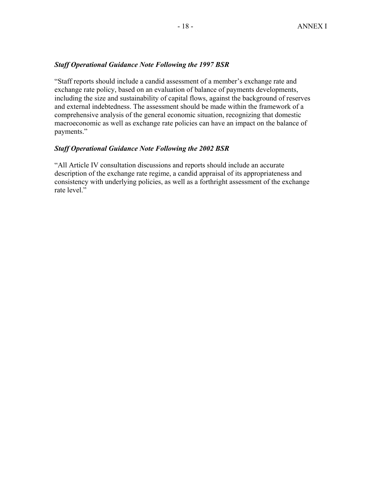#### *Staff Operational Guidance Note Following the 1997 BSR*

"Staff reports should include a candid assessment of a member's exchange rate and exchange rate policy, based on an evaluation of balance of payments developments, including the size and sustainability of capital flows, against the background of reserves and external indebtedness. The assessment should be made within the framework of a comprehensive analysis of the general economic situation, recognizing that domestic macroeconomic as well as exchange rate policies can have an impact on the balance of payments."

#### *Staff Operational Guidance Note Following the 2002 BSR*

"All Article IV consultation discussions and reports should include an accurate description of the exchange rate regime, a candid appraisal of its appropriateness and consistency with underlying policies, as well as a forthright assessment of the exchange rate level."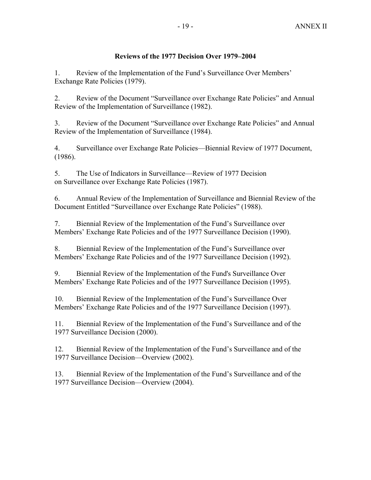#### **Reviews of the 1977 Decision Over 1979–2004**

1. Review of the Implementation of the Fund's Surveillance Over Members' Exchange Rate Policies (1979).

2. Review of the Document "Surveillance over Exchange Rate Policies" and Annual Review of the Implementation of Surveillance (1982).

3. Review of the Document "Surveillance over Exchange Rate Policies" and Annual Review of the Implementation of Surveillance (1984).

4. Surveillance over Exchange Rate Policies—Biennial Review of 1977 Document, (1986).

5. The Use of Indicators in Surveillance—Review of 1977 Decision on Surveillance over Exchange Rate Policies (1987).

6. Annual Review of the Implementation of Surveillance and Biennial Review of the Document Entitled "Surveillance over Exchange Rate Policies" (1988).

7. Biennial Review of the Implementation of the Fund's Surveillance over Members' Exchange Rate Policies and of the 1977 Surveillance Decision (1990).

8. Biennial Review of the Implementation of the Fund's Surveillance over Members' Exchange Rate Policies and of the 1977 Surveillance Decision (1992).

9. Biennial Review of the Implementation of the Fund's Surveillance Over Members' Exchange Rate Policies and of the 1977 Surveillance Decision (1995).

10. Biennial Review of the Implementation of the Fund's Surveillance Over Members' Exchange Rate Policies and of the 1977 Surveillance Decision (1997).

11. Biennial Review of the Implementation of the Fund's Surveillance and of the 1977 Surveillance Decision (2000).

12. Biennial Review of the Implementation of the Fund's Surveillance and of the 1977 Surveillance Decision—Overview (2002).

13. Biennial Review of the Implementation of the Fund's Surveillance and of the 1977 Surveillance Decision—Overview (2004).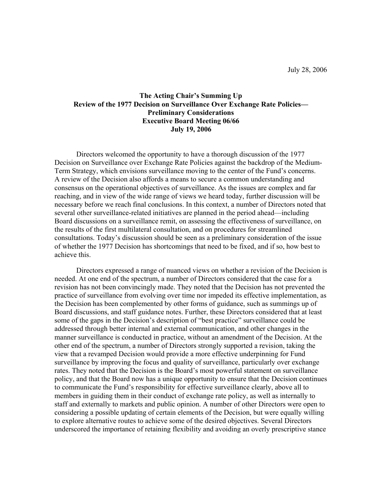July 28, 2006

#### **The Acting Chair's Summing Up Review of the 1977 Decision on Surveillance Over Exchange Rate Policies— Preliminary Considerations Executive Board Meeting 06/66 July 19, 2006**

Directors welcomed the opportunity to have a thorough discussion of the 1977 Decision on Surveillance over Exchange Rate Policies against the backdrop of the Medium-Term Strategy, which envisions surveillance moving to the center of the Fund's concerns. A review of the Decision also affords a means to secure a common understanding and consensus on the operational objectives of surveillance. As the issues are complex and far reaching, and in view of the wide range of views we heard today, further discussion will be necessary before we reach final conclusions. In this context, a number of Directors noted that several other surveillance-related initiatives are planned in the period ahead—including Board discussions on a surveillance remit, on assessing the effectiveness of surveillance, on the results of the first multilateral consultation, and on procedures for streamlined consultations. Today's discussion should be seen as a preliminary consideration of the issue of whether the 1977 Decision has shortcomings that need to be fixed, and if so, how best to achieve this.

Directors expressed a range of nuanced views on whether a revision of the Decision is needed. At one end of the spectrum, a number of Directors considered that the case for a revision has not been convincingly made. They noted that the Decision has not prevented the practice of surveillance from evolving over time nor impeded its effective implementation, as the Decision has been complemented by other forms of guidance, such as summings up of Board discussions, and staff guidance notes. Further, these Directors considered that at least some of the gaps in the Decision's description of "best practice" surveillance could be addressed through better internal and external communication, and other changes in the manner surveillance is conducted in practice, without an amendment of the Decision. At the other end of the spectrum, a number of Directors strongly supported a revision, taking the view that a revamped Decision would provide a more effective underpinning for Fund surveillance by improving the focus and quality of surveillance, particularly over exchange rates. They noted that the Decision is the Board's most powerful statement on surveillance policy, and that the Board now has a unique opportunity to ensure that the Decision continues to communicate the Fund's responsibility for effective surveillance clearly, above all to members in guiding them in their conduct of exchange rate policy, as well as internally to staff and externally to markets and public opinion. A number of other Directors were open to considering a possible updating of certain elements of the Decision, but were equally willing to explore alternative routes to achieve some of the desired objectives. Several Directors underscored the importance of retaining flexibility and avoiding an overly prescriptive stance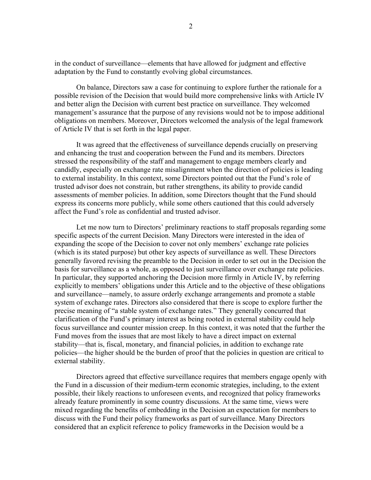in the conduct of surveillance—elements that have allowed for judgment and effective adaptation by the Fund to constantly evolving global circumstances.

On balance, Directors saw a case for continuing to explore further the rationale for a possible revision of the Decision that would build more comprehensive links with Article IV and better align the Decision with current best practice on surveillance. They welcomed management's assurance that the purpose of any revisions would not be to impose additional obligations on members. Moreover, Directors welcomed the analysis of the legal framework of Article IV that is set forth in the legal paper.

It was agreed that the effectiveness of surveillance depends crucially on preserving and enhancing the trust and cooperation between the Fund and its members. Directors stressed the responsibility of the staff and management to engage members clearly and candidly, especially on exchange rate misalignment when the direction of policies is leading to external instability. In this context, some Directors pointed out that the Fund's role of trusted advisor does not constrain, but rather strengthens, its ability to provide candid assessments of member policies. In addition, some Directors thought that the Fund should express its concerns more publicly, while some others cautioned that this could adversely affect the Fund's role as confidential and trusted advisor.

Let me now turn to Directors' preliminary reactions to staff proposals regarding some specific aspects of the current Decision. Many Directors were interested in the idea of expanding the scope of the Decision to cover not only members' exchange rate policies (which is its stated purpose) but other key aspects of surveillance as well. These Directors generally favored revising the preamble to the Decision in order to set out in the Decision the basis for surveillance as a whole, as opposed to just surveillance over exchange rate policies. In particular, they supported anchoring the Decision more firmly in Article IV, by referring explicitly to members' obligations under this Article and to the objective of these obligations and surveillance—namely, to assure orderly exchange arrangements and promote a stable system of exchange rates. Directors also considered that there is scope to explore further the precise meaning of "a stable system of exchange rates." They generally concurred that clarification of the Fund's primary interest as being rooted in external stability could help focus surveillance and counter mission creep. In this context, it was noted that the further the Fund moves from the issues that are most likely to have a direct impact on external stability—that is, fiscal, monetary, and financial policies, in addition to exchange rate policies—the higher should be the burden of proof that the policies in question are critical to external stability.

Directors agreed that effective surveillance requires that members engage openly with the Fund in a discussion of their medium-term economic strategies, including, to the extent possible, their likely reactions to unforeseen events, and recognized that policy frameworks already feature prominently in some country discussions. At the same time, views were mixed regarding the benefits of embedding in the Decision an expectation for members to discuss with the Fund their policy frameworks as part of surveillance. Many Directors considered that an explicit reference to policy frameworks in the Decision would be a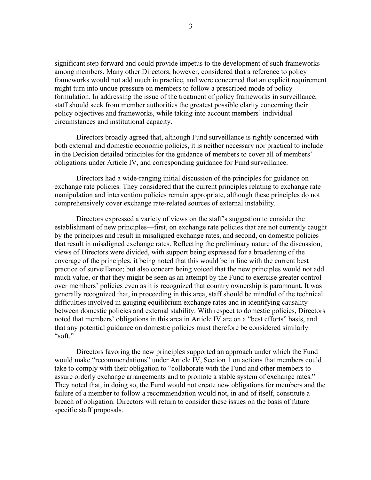significant step forward and could provide impetus to the development of such frameworks among members. Many other Directors, however, considered that a reference to policy frameworks would not add much in practice, and were concerned that an explicit requirement might turn into undue pressure on members to follow a prescribed mode of policy formulation. In addressing the issue of the treatment of policy frameworks in surveillance, staff should seek from member authorities the greatest possible clarity concerning their policy objectives and frameworks, while taking into account members' individual circumstances and institutional capacity.

Directors broadly agreed that, although Fund surveillance is rightly concerned with both external and domestic economic policies, it is neither necessary nor practical to include in the Decision detailed principles for the guidance of members to cover all of members' obligations under Article IV, and corresponding guidance for Fund surveillance.

Directors had a wide-ranging initial discussion of the principles for guidance on exchange rate policies. They considered that the current principles relating to exchange rate manipulation and intervention policies remain appropriate, although these principles do not comprehensively cover exchange rate-related sources of external instability.

Directors expressed a variety of views on the staff's suggestion to consider the establishment of new principles—first, on exchange rate policies that are not currently caught by the principles and result in misaligned exchange rates, and second, on domestic policies that result in misaligned exchange rates. Reflecting the preliminary nature of the discussion, views of Directors were divided, with support being expressed for a broadening of the coverage of the principles, it being noted that this would be in line with the current best practice of surveillance; but also concern being voiced that the new principles would not add much value, or that they might be seen as an attempt by the Fund to exercise greater control over members' policies even as it is recognized that country ownership is paramount. It was generally recognized that, in proceeding in this area, staff should be mindful of the technical difficulties involved in gauging equilibrium exchange rates and in identifying causality between domestic policies and external stability. With respect to domestic policies, Directors noted that members' obligations in this area in Article IV are on a "best efforts" basis, and that any potential guidance on domestic policies must therefore be considered similarly "soft"

Directors favoring the new principles supported an approach under which the Fund would make "recommendations" under Article IV, Section 1 on actions that members could take to comply with their obligation to "collaborate with the Fund and other members to assure orderly exchange arrangements and to promote a stable system of exchange rates." They noted that, in doing so, the Fund would not create new obligations for members and the failure of a member to follow a recommendation would not, in and of itself, constitute a breach of obligation. Directors will return to consider these issues on the basis of future specific staff proposals.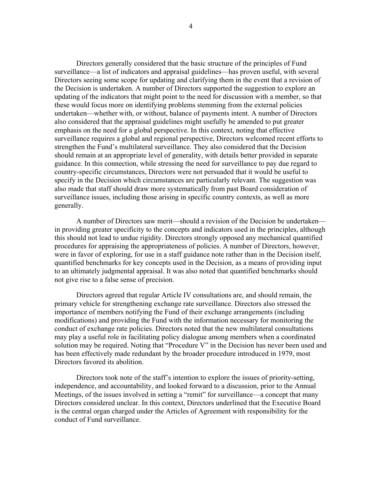Directors generally considered that the basic structure of the principles of Fund surveillance—a list of indicators and appraisal guidelines—has proven useful, with several Directors seeing some scope for updating and clarifying them in the event that a revision of the Decision is undertaken. A number of Directors supported the suggestion to explore an updating of the indicators that might point to the need for discussion with a member, so that these would focus more on identifying problems stemming from the external policies undertaken—whether with, or without, balance of payments intent. A number of Directors also considered that the appraisal guidelines might usefully be amended to put greater emphasis on the need for a global perspective. In this context, noting that effective surveillance requires a global and regional perspective, Directors welcomed recent efforts to strengthen the Fund's multilateral surveillance. They also considered that the Decision should remain at an appropriate level of generality, with details better provided in separate guidance. In this connection, while stressing the need for surveillance to pay due regard to country-specific circumstances, Directors were not persuaded that it would be useful to specify in the Decision which circumstances are particularly relevant. The suggestion was also made that staff should draw more systematically from past Board consideration of surveillance issues, including those arising in specific country contexts, as well as more generally.

A number of Directors saw merit—should a revision of the Decision be undertaken in providing greater specificity to the concepts and indicators used in the principles, although this should not lead to undue rigidity. Directors strongly opposed any mechanical quantified procedures for appraising the appropriateness of policies. A number of Directors, however, were in favor of exploring, for use in a staff guidance note rather than in the Decision itself, quantified benchmarks for key concepts used in the Decision, as a means of providing input to an ultimately judgmental appraisal. It was also noted that quantified benchmarks should not give rise to a false sense of precision.

Directors agreed that regular Article IV consultations are, and should remain, the primary vehicle for strengthening exchange rate surveillance. Directors also stressed the importance of members notifying the Fund of their exchange arrangements (including modifications) and providing the Fund with the information necessary for monitoring the conduct of exchange rate policies. Directors noted that the new multilateral consultations may play a useful role in facilitating policy dialogue among members when a coordinated solution may be required. Noting that "Procedure V" in the Decision has never been used and has been effectively made redundant by the broader procedure introduced in 1979, most Directors favored its abolition.

Directors took note of the staff's intention to explore the issues of priority-setting, independence, and accountability, and looked forward to a discussion, prior to the Annual Meetings, of the issues involved in setting a "remit" for surveillance—a concept that many Directors considered unclear. In this context, Directors underlined that the Executive Board is the central organ charged under the Articles of Agreement with responsibility for the conduct of Fund surveillance.